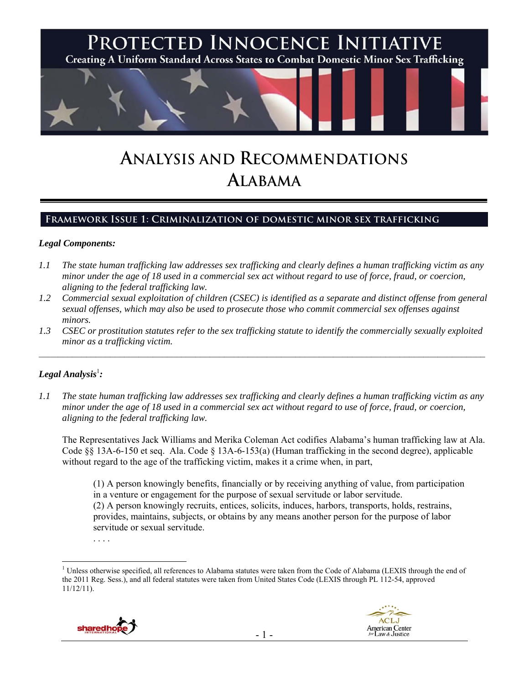

# **ANALYSIS AND RECOMMENDATIONS ALABAMA**

## **Framework Issue 1: Criminalization of domestic minor sex trafficking**

#### *Legal Components:*

- *1.1 The state human trafficking law addresses sex trafficking and clearly defines a human trafficking victim as any minor under the age of 18 used in a commercial sex act without regard to use of force, fraud, or coercion, aligning to the federal trafficking law.*
- *1.2 Commercial sexual exploitation of children (CSEC) is identified as a separate and distinct offense from general sexual offenses, which may also be used to prosecute those who commit commercial sex offenses against minors.*
- *1.3 CSEC or prostitution statutes refer to the sex trafficking statute to identify the commercially sexually exploited minor as a trafficking victim.*

 $\mathcal{L}_\mathcal{L} = \{ \mathcal{L}_\mathcal{L} = \{ \mathcal{L}_\mathcal{L} = \{ \mathcal{L}_\mathcal{L} = \{ \mathcal{L}_\mathcal{L} = \{ \mathcal{L}_\mathcal{L} = \{ \mathcal{L}_\mathcal{L} = \{ \mathcal{L}_\mathcal{L} = \{ \mathcal{L}_\mathcal{L} = \{ \mathcal{L}_\mathcal{L} = \{ \mathcal{L}_\mathcal{L} = \{ \mathcal{L}_\mathcal{L} = \{ \mathcal{L}_\mathcal{L} = \{ \mathcal{L}_\mathcal{L} = \{ \mathcal{L}_\mathcal{$ 

# $\bm{L}$ egal Analysis $^{\rm l}$ :

 $\overline{a}$ 

*1.1 The state human trafficking law addresses sex trafficking and clearly defines a human trafficking victim as any minor under the age of 18 used in a commercial sex act without regard to use of force, fraud, or coercion, aligning to the federal trafficking law.* 

The Representatives Jack Williams and Merika Coleman Act codifies Alabama's human trafficking law at Ala. Code §§ 13A-6-150 et seq. Ala. Code § 13A-6-153(a) (Human trafficking in the second degree), applicable without regard to the age of the trafficking victim, makes it a crime when, in part,

(1) A person knowingly benefits, financially or by receiving anything of value, from participation in a venture or engagement for the purpose of sexual servitude or labor servitude. (2) A person knowingly recruits, entices, solicits, induces, harbors, transports, holds, restrains, provides, maintains, subjects, or obtains by any means another person for the purpose of labor servitude or sexual servitude.

<sup>&</sup>lt;sup>1</sup> Unless otherwise specified, all references to Alabama statutes were taken from the Code of Alabama (LEXIS through the end of the 2011 Reg. Sess.), and all federal statutes were taken from United States Code (LEXIS through PL 112-54, approved 11/12/11).





<sup>. . . .</sup>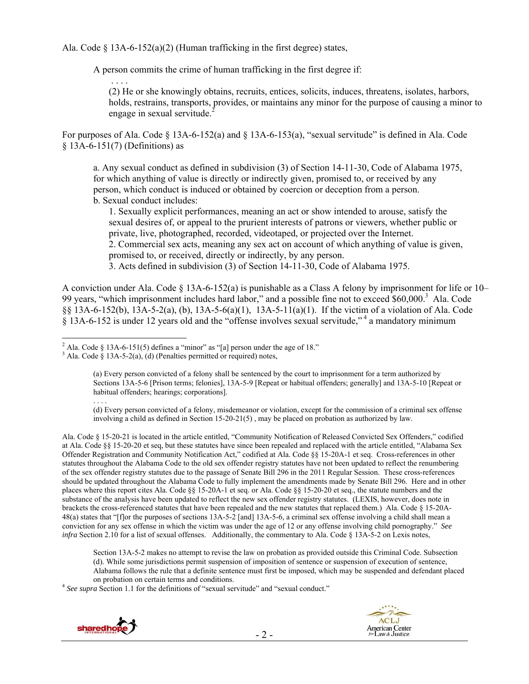Ala. Code  $\S$  13A-6-152(a)(2) (Human trafficking in the first degree) states,

A person commits the crime of human trafficking in the first degree if:

 . . . . (2) He or she knowingly obtains, recruits, entices, solicits, induces, threatens, isolates, harbors, holds, restrains, transports, provides, or maintains any minor for the purpose of causing a minor to engage in sexual servitude.<sup>2</sup>

For purposes of Ala. Code § 13A-6-152(a) and § 13A-6-153(a), "sexual servitude" is defined in Ala. Code § 13A-6-151(7) (Definitions) as

a. Any sexual conduct as defined in subdivision (3) of Section 14-11-30, Code of Alabama 1975, for which anything of value is directly or indirectly given, promised to, or received by any person, which conduct is induced or obtained by coercion or deception from a person. b. Sexual conduct includes:

1. Sexually explicit performances, meaning an act or show intended to arouse, satisfy the sexual desires of, or appeal to the prurient interests of patrons or viewers, whether public or private, live, photographed, recorded, videotaped, or projected over the Internet. 2. Commercial sex acts, meaning any sex act on account of which anything of value is given, promised to, or received, directly or indirectly, by any person.

3. Acts defined in subdivision (3) of Section 14-11-30, Code of Alabama 1975.

A conviction under Ala. Code § 13A-6-152(a) is punishable as a Class A felony by imprisonment for life or 10– 99 years, "which imprisonment includes hard labor," and a possible fine not to exceed \$60,000.<sup>3</sup> Ala. Code §§ 13A-6-152(b), 13A-5-2(a), (b), 13A-5-6(a)(1), 13A-5-11(a)(1). If the victim of a violation of Ala. Code § 13A-6-152 is under 12 years old and the "offense involves sexual servitude," 4 a mandatory minimum

Ala. Code § 15-20-21 is located in the article entitled, "Community Notification of Released Convicted Sex Offenders," codified at Ala. Code §§ 15-20-20 et seq, but these statutes have since been repealed and replaced with the article entitled, "Alabama Sex Offender Registration and Community Notification Act," codified at Ala. Code §§ 15-20A-1 et seq. Cross-references in other statutes throughout the Alabama Code to the old sex offender registry statutes have not been updated to reflect the renumbering of the sex offender registry statutes due to the passage of Senate Bill 296 in the 2011 Regular Session. These cross-references should be updated throughout the Alabama Code to fully implement the amendments made by Senate Bill 296. Here and in other places where this report cites Ala. Code §§ 15-20A-1 et seq. or Ala. Code §§ 15-20-20 et seq., the statute numbers and the substance of the analysis have been updated to reflect the new sex offender registry statutes. (LEXIS, however, does note in brackets the cross-referenced statutes that have been repealed and the new statutes that replaced them.) Ala. Code § 15-20A-48(a) states that "[f]or the purposes of sections 13A-5-2 [and] 13A-5-6, a criminal sex offense involving a child shall mean a conviction for any sex offense in which the victim was under the age of 12 or any offense involving child pornography." *See infra* Section 2.10 for a list of sexual offenses. Additionally, the commentary to Ala. Code § 13A-5-2 on Lexis notes,

Section 13A-5-2 makes no attempt to revise the law on probation as provided outside this Criminal Code. Subsection (d). While some jurisdictions permit suspension of imposition of sentence or suspension of execution of sentence, Alabama follows the rule that a definite sentence must first be imposed, which may be suspended and defendant placed

on probation on certain terms and conditions. 4 *See supra* Section 1.1 for the definitions of "sexual servitude" and "sexual conduct."





<sup>&</sup>lt;sup>2</sup> Ala. Code § 13A-6-151(5) defines a "minor" as "[a] person under the age of 18."<br><sup>3</sup> Ala. Code § 13A-5 2(a), (d) (Popelties permitted or required) peter

 $3$  Ala. Code § 13A-5-2(a), (d) (Penalties permitted or required) notes,

<sup>(</sup>a) Every person convicted of a felony shall be sentenced by the court to imprisonment for a term authorized by Sections 13A-5-6 [Prison terms; felonies], 13A-5-9 [Repeat or habitual offenders; generally] and 13A-5-10 [Repeat or habitual offenders; hearings; corporations]. . . . .

<sup>(</sup>d) Every person convicted of a felony, misdemeanor or violation, except for the commission of a criminal sex offense involving a child as defined in Section 15-20-21(5) , may be placed on probation as authorized by law.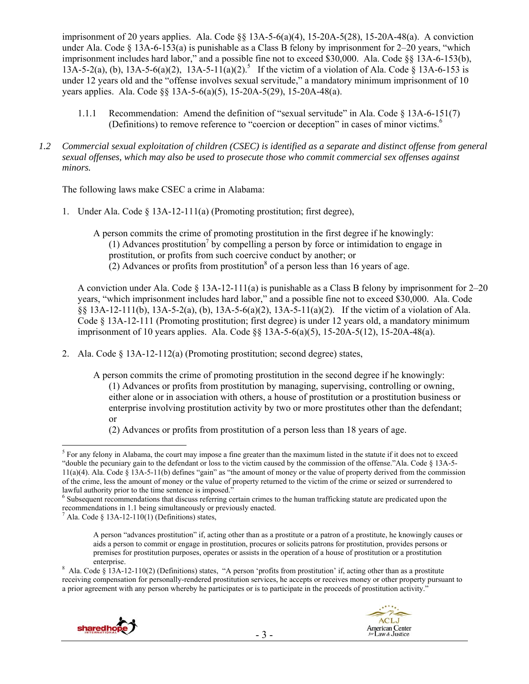imprisonment of 20 years applies. Ala. Code §§ 13A-5-6(a)(4), 15-20A-5(28), 15-20A-48(a). A conviction under Ala. Code  $\S$  13A-6-153(a) is punishable as a Class B felony by imprisonment for 2–20 years, "which imprisonment includes hard labor," and a possible fine not to exceed \$30,000. Ala. Code §§ 13A-6-153(b),  $13A-5-2(a)$ , (b),  $13A-5-6(a)(2)$ ,  $13A-5-11(a)(2)$ .<sup>5</sup> If the victim of a violation of Ala. Code § 13A-6-153 is under 12 years old and the "offense involves sexual servitude," a mandatory minimum imprisonment of 10 years applies. Ala. Code §§ 13A-5-6(a)(5), 15-20A-5(29), 15-20A-48(a).

- 1.1.1 Recommendation: Amend the definition of "sexual servitude" in Ala. Code § 13A-6-151(7) (Definitions) to remove reference to "coercion or deception" in cases of minor victims.<sup>6</sup>
- *1.2 Commercial sexual exploitation of children (CSEC) is identified as a separate and distinct offense from general sexual offenses, which may also be used to prosecute those who commit commercial sex offenses against minors.*

The following laws make CSEC a crime in Alabama:

1. Under Ala. Code § 13A-12-111(a) (Promoting prostitution; first degree),

A person commits the crime of promoting prostitution in the first degree if he knowingly: (1) Advances prostitution<sup>7</sup> by compelling a person by force or intimidation to engage in prostitution, or profits from such coercive conduct by another; or  $(2)$  Advances or profits from prostitution<sup>8</sup> of a person less than 16 years of age.

A conviction under Ala. Code  $\S$  13A-12-111(a) is punishable as a Class B felony by imprisonment for 2–20 years, "which imprisonment includes hard labor," and a possible fine not to exceed \$30,000. Ala. Code §§ 13A-12-111(b), 13A-5-2(a), (b), 13A-5-6(a)(2), 13A-5-11(a)(2). If the victim of a violation of Ala. Code  $\S$  13A-12-111 (Promoting prostitution; first degree) is under 12 years old, a mandatory minimum imprisonment of 10 years applies. Ala. Code §§ 13A-5-6(a)(5), 15-20A-5(12), 15-20A-48(a).

2. Ala. Code § 13A-12-112(a) (Promoting prostitution; second degree) states,

A person commits the crime of promoting prostitution in the second degree if he knowingly: (1) Advances or profits from prostitution by managing, supervising, controlling or owning, either alone or in association with others, a house of prostitution or a prostitution business or enterprise involving prostitution activity by two or more prostitutes other than the defendant; or

(2) Advances or profits from prostitution of a person less than 18 years of age.

enterprise.<br><sup>8</sup> Ala. Code § 13A-12-110(2) (Definitions) states, "A person 'profits from prostitution' if, acting other than as a prostitute receiving compensation for personally-rendered prostitution services, he accepts or receives money or other property pursuant to a prior agreement with any person whereby he participates or is to participate in the proceeds of prostitution activity."



 $\overline{a}$ 

 $<sup>5</sup>$  For any felony in Alabama, the court may impose a fine greater than the maximum listed in the statute if it does not to exceed</sup> "double the pecuniary gain to the defendant or loss to the victim caused by the commission of the offense."Ala. Code § 13A-5- 11(a)(4). Ala. Code § 13A-5-11(b) defines "gain" as "the amount of money or the value of property derived from the commission of the crime, less the amount of money or the value of property returned to the victim of the crime or seized or surrendered to lawful authority prior to the time sentence is imposed."

<sup>&</sup>lt;sup>6</sup> Subsequent recommendations that discuss referring certain crimes to the human trafficking statute are predicated upon the recommendations in 1.1 being simultaneously or previously enacted.

 $^7$  Ala. Code § 13A-12-110(1) (Definitions) states,

A person "advances prostitution" if, acting other than as a prostitute or a patron of a prostitute, he knowingly causes or aids a person to commit or engage in prostitution, procures or solicits patrons for prostitution, provides persons or premises for prostitution purposes, operates or assists in the operation of a house of prostitution or a prostitution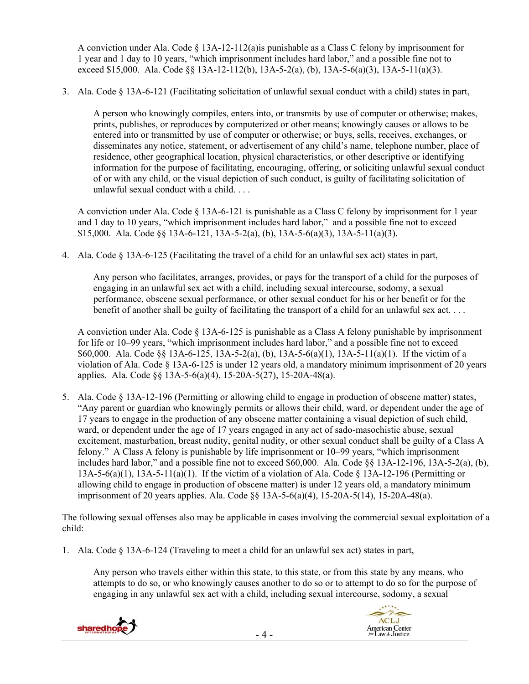A conviction under Ala. Code § 13A-12-112(a)is punishable as a Class C felony by imprisonment for 1 year and 1 day to 10 years, "which imprisonment includes hard labor," and a possible fine not to exceed \$15,000. Ala. Code §§ 13A-12-112(b), 13A-5-2(a), (b), 13A-5-6(a)(3), 13A-5-11(a)(3).

3. Ala. Code § 13A-6-121 (Facilitating solicitation of unlawful sexual conduct with a child) states in part,

A person who knowingly compiles, enters into, or transmits by use of computer or otherwise; makes, prints, publishes, or reproduces by computerized or other means; knowingly causes or allows to be entered into or transmitted by use of computer or otherwise; or buys, sells, receives, exchanges, or disseminates any notice, statement, or advertisement of any child's name, telephone number, place of residence, other geographical location, physical characteristics, or other descriptive or identifying information for the purpose of facilitating, encouraging, offering, or soliciting unlawful sexual conduct of or with any child, or the visual depiction of such conduct, is guilty of facilitating solicitation of unlawful sexual conduct with a child. . . .

A conviction under Ala. Code § 13A-6-121 is punishable as a Class C felony by imprisonment for 1 year and 1 day to 10 years, "which imprisonment includes hard labor," and a possible fine not to exceed \$15,000. Ala. Code  $\S$ § 13A-6-121, 13A-5-2(a), (b), 13A-5-6(a)(3), 13A-5-11(a)(3).

4. Ala. Code § 13A-6-125 (Facilitating the travel of a child for an unlawful sex act) states in part,

Any person who facilitates, arranges, provides, or pays for the transport of a child for the purposes of engaging in an unlawful sex act with a child, including sexual intercourse, sodomy, a sexual performance, obscene sexual performance, or other sexual conduct for his or her benefit or for the benefit of another shall be guilty of facilitating the transport of a child for an unlawful sex act. . . .

A conviction under Ala. Code  $\S$  13A-6-125 is punishable as a Class A felony punishable by imprisonment for life or 10–99 years, "which imprisonment includes hard labor," and a possible fine not to exceed \$60,000. Ala. Code  $\S 13A-6-125$ ,  $13A-5-2(a)$ , (b),  $13A-5-6(a)(1)$ ,  $13A-5-11(a)(1)$ . If the victim of a violation of Ala. Code § 13A-6-125 is under 12 years old, a mandatory minimum imprisonment of 20 years applies. Ala. Code §§ 13A-5-6(a)(4), 15-20A-5(27), 15-20A-48(a).

5. Ala. Code § 13A-12-196 (Permitting or allowing child to engage in production of obscene matter) states, "Any parent or guardian who knowingly permits or allows their child, ward, or dependent under the age of 17 years to engage in the production of any obscene matter containing a visual depiction of such child, ward, or dependent under the age of 17 years engaged in any act of sado-masochistic abuse, sexual excitement, masturbation, breast nudity, genital nudity, or other sexual conduct shall be guilty of a Class A felony." A Class A felony is punishable by life imprisonment or 10–99 years, "which imprisonment includes hard labor," and a possible fine not to exceed \$60,000. Ala. Code §§ 13A-12-196, 13A-5-2(a), (b), 13A-5-6(a)(1), 13A-5-11(a)(1). If the victim of a violation of Ala. Code  $\S$  13A-12-196 (Permitting or allowing child to engage in production of obscene matter) is under 12 years old, a mandatory minimum imprisonment of 20 years applies. Ala. Code §§ 13A-5-6(a)(4), 15-20A-5(14), 15-20A-48(a).

The following sexual offenses also may be applicable in cases involving the commercial sexual exploitation of a child:

1. Ala. Code § 13A-6-124 (Traveling to meet a child for an unlawful sex act) states in part,

Any person who travels either within this state, to this state, or from this state by any means, who attempts to do so, or who knowingly causes another to do so or to attempt to do so for the purpose of engaging in any unlawful sex act with a child, including sexual intercourse, sodomy, a sexual



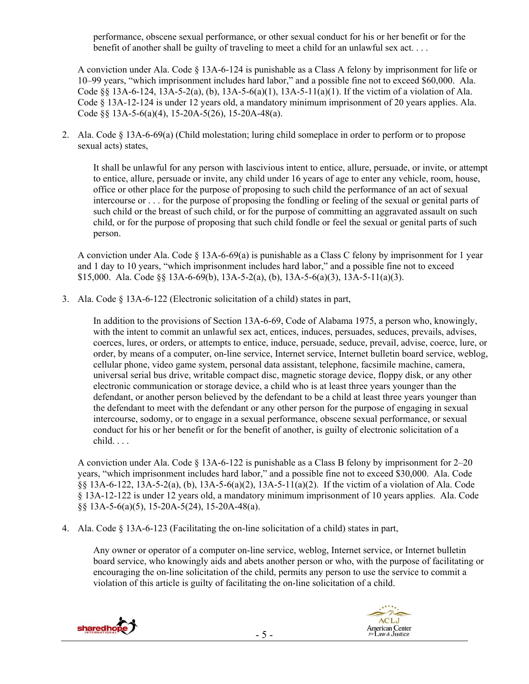performance, obscene sexual performance, or other sexual conduct for his or her benefit or for the benefit of another shall be guilty of traveling to meet a child for an unlawful sex act. . . .

A conviction under Ala. Code § 13A-6-124 is punishable as a Class A felony by imprisonment for life or 10–99 years, "which imprisonment includes hard labor," and a possible fine not to exceed \$60,000. Ala. Code  $\S$ § 13A-6-124, 13A-5-2(a), (b), 13A-5-6(a)(1), 13A-5-11(a)(1). If the victim of a violation of Ala. Code § 13A-12-124 is under 12 years old, a mandatory minimum imprisonment of 20 years applies. Ala. Code §§ 13A-5-6(a)(4), 15-20A-5(26), 15-20A-48(a).

2. Ala. Code § 13A-6-69(a) (Child molestation; luring child someplace in order to perform or to propose sexual acts) states,

It shall be unlawful for any person with lascivious intent to entice, allure, persuade, or invite, or attempt to entice, allure, persuade or invite, any child under 16 years of age to enter any vehicle, room, house, office or other place for the purpose of proposing to such child the performance of an act of sexual intercourse or . . . for the purpose of proposing the fondling or feeling of the sexual or genital parts of such child or the breast of such child, or for the purpose of committing an aggravated assault on such child, or for the purpose of proposing that such child fondle or feel the sexual or genital parts of such person.

A conviction under Ala. Code  $\S$  13A-6-69(a) is punishable as a Class C felony by imprisonment for 1 year and 1 day to 10 years, "which imprisonment includes hard labor," and a possible fine not to exceed \$15,000. Ala. Code §§ 13A-6-69(b), 13A-5-2(a), (b), 13A-5-6(a)(3), 13A-5-11(a)(3).

3. Ala. Code § 13A-6-122 (Electronic solicitation of a child) states in part,

In addition to the provisions of Section 13A-6-69, Code of Alabama 1975, a person who, knowingly, with the intent to commit an unlawful sex act, entices, induces, persuades, seduces, prevails, advises, coerces, lures, or orders, or attempts to entice, induce, persuade, seduce, prevail, advise, coerce, lure, or order, by means of a computer, on-line service, Internet service, Internet bulletin board service, weblog, cellular phone, video game system, personal data assistant, telephone, facsimile machine, camera, universal serial bus drive, writable compact disc, magnetic storage device, floppy disk, or any other electronic communication or storage device, a child who is at least three years younger than the defendant, or another person believed by the defendant to be a child at least three years younger than the defendant to meet with the defendant or any other person for the purpose of engaging in sexual intercourse, sodomy, or to engage in a sexual performance, obscene sexual performance, or sexual conduct for his or her benefit or for the benefit of another, is guilty of electronic solicitation of a child. . . .

A conviction under Ala. Code  $\S$  13A-6-122 is punishable as a Class B felony by imprisonment for 2–20 years, "which imprisonment includes hard labor," and a possible fine not to exceed \$30,000. Ala. Code §§ 13A-6-122, 13A-5-2(a), (b), 13A-5-6(a)(2), 13A-5-11(a)(2). If the victim of a violation of Ala. Code § 13A-12-122 is under 12 years old, a mandatory minimum imprisonment of 10 years applies. Ala. Code §§ 13A-5-6(a)(5), 15-20A-5(24), 15-20A-48(a).

4. Ala. Code § 13A-6-123 (Facilitating the on-line solicitation of a child) states in part,

Any owner or operator of a computer on-line service, weblog, Internet service, or Internet bulletin board service, who knowingly aids and abets another person or who, with the purpose of facilitating or encouraging the on-line solicitation of the child, permits any person to use the service to commit a violation of this article is guilty of facilitating the on-line solicitation of a child.



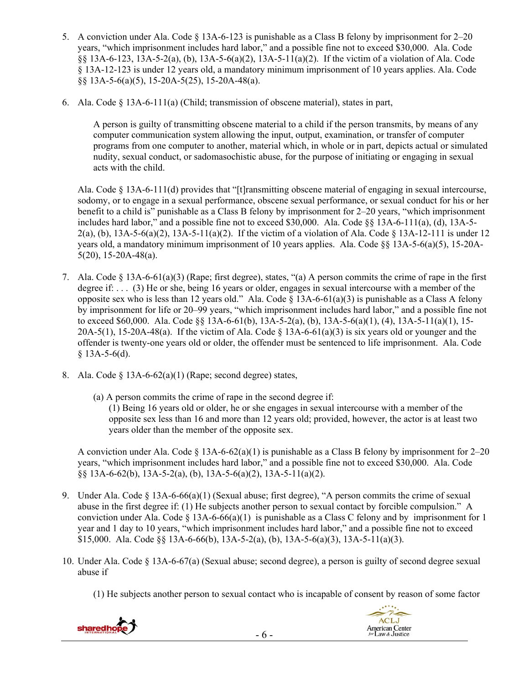- 5. A conviction under Ala. Code § 13A-6-123 is punishable as a Class B felony by imprisonment for 2–20 years, "which imprisonment includes hard labor," and a possible fine not to exceed \$30,000. Ala. Code §§ 13A-6-123, 13A-5-2(a), (b), 13A-5-6(a)(2), 13A-5-11(a)(2). If the victim of a violation of Ala. Code § 13A-12-123 is under 12 years old, a mandatory minimum imprisonment of 10 years applies. Ala. Code §§ 13A-5-6(a)(5), 15-20A-5(25), 15-20A-48(a).
- 6. Ala. Code  $\S$  13A-6-111(a) (Child; transmission of obscene material), states in part,

A person is guilty of transmitting obscene material to a child if the person transmits, by means of any computer communication system allowing the input, output, examination, or transfer of computer programs from one computer to another, material which, in whole or in part, depicts actual or simulated nudity, sexual conduct, or sadomasochistic abuse, for the purpose of initiating or engaging in sexual acts with the child.

Ala. Code § 13A-6-111(d) provides that "[t]ransmitting obscene material of engaging in sexual intercourse, sodomy, or to engage in a sexual performance, obscene sexual performance, or sexual conduct for his or her benefit to a child is" punishable as a Class B felony by imprisonment for 2–20 years, "which imprisonment includes hard labor," and a possible fine not to exceed \$30,000. Ala. Code §§ 13A-6-111(a), (d), 13A-5- 2(a), (b), 13A-5-6(a)(2), 13A-5-11(a)(2). If the victim of a violation of Ala. Code § 13A-12-111 is under 12 years old, a mandatory minimum imprisonment of 10 years applies. Ala. Code §§ 13A-5-6(a)(5), 15-20A-5(20), 15-20A-48(a).

- 7. Ala. Code § 13A-6-61(a)(3) (Rape; first degree), states, "(a) A person commits the crime of rape in the first degree if: . . . (3) He or she, being 16 years or older, engages in sexual intercourse with a member of the opposite sex who is less than 12 years old." Ala. Code  $\S$  13A-6-61(a)(3) is punishable as a Class A felony by imprisonment for life or 20–99 years, "which imprisonment includes hard labor," and a possible fine not to exceed \$60,000. Ala. Code §§ 13A-6-61(b), 13A-5-2(a), (b), 13A-5-6(a)(1), (4), 13A-5-11(a)(1), 15-  $20A-5(1)$ ,  $15-20A-48(a)$ . If the victim of Ala. Code § 13A-6-61(a)(3) is six years old or younger and the offender is twenty-one years old or older, the offender must be sentenced to life imprisonment. Ala. Code  $§$  13A-5-6(d).
- 8. Ala. Code  $\S$  13A-6-62(a)(1) (Rape; second degree) states,
	- (a) A person commits the crime of rape in the second degree if: (1) Being 16 years old or older, he or she engages in sexual intercourse with a member of the opposite sex less than 16 and more than 12 years old; provided, however, the actor is at least two years older than the member of the opposite sex.

A conviction under Ala. Code  $\S$  13A-6-62(a)(1) is punishable as a Class B felony by imprisonment for 2–20 years, "which imprisonment includes hard labor," and a possible fine not to exceed \$30,000. Ala. Code §§ 13A-6-62(b), 13A-5-2(a), (b), 13A-5-6(a)(2), 13A-5-11(a)(2).

- 9. Under Ala. Code § 13A-6-66(a)(1) (Sexual abuse; first degree), "A person commits the crime of sexual abuse in the first degree if: (1) He subjects another person to sexual contact by forcible compulsion." A conviction under Ala. Code  $\S$  13A-6-66(a)(1) is punishable as a Class C felony and by imprisonment for 1 year and 1 day to 10 years, "which imprisonment includes hard labor," and a possible fine not to exceed \$15,000. Ala. Code  $\S 8$  13A-6-66(b), 13A-5-2(a), (b), 13A-5-6(a)(3), 13A-5-11(a)(3).
- 10. Under Ala. Code § 13A-6-67(a) (Sexual abuse; second degree), a person is guilty of second degree sexual abuse if
	- (1) He subjects another person to sexual contact who is incapable of consent by reason of some factor

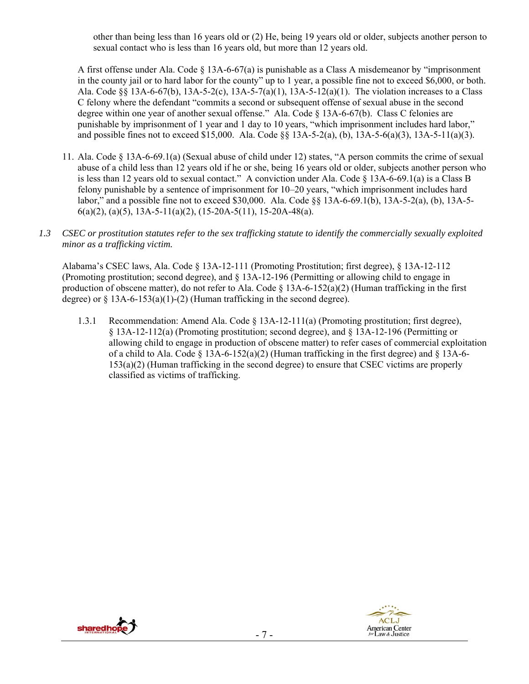other than being less than 16 years old or (2) He, being 19 years old or older, subjects another person to sexual contact who is less than 16 years old, but more than 12 years old.

A first offense under Ala. Code § 13A-6-67(a) is punishable as a Class A misdemeanor by "imprisonment in the county jail or to hard labor for the county" up to 1 year, a possible fine not to exceed \$6,000, or both. Ala. Code §§ 13A-6-67(b), 13A-5-2(c), 13A-5-7(a)(1), 13A-5-12(a)(1). The violation increases to a Class C felony where the defendant "commits a second or subsequent offense of sexual abuse in the second degree within one year of another sexual offense." Ala. Code § 13A-6-67(b). Class C felonies are punishable by imprisonment of 1 year and 1 day to 10 years, "which imprisonment includes hard labor," and possible fines not to exceed \$15,000. Ala. Code §§ 13A-5-2(a), (b), 13A-5-6(a)(3), 13A-5-11(a)(3).

- 11. Ala. Code § 13A-6-69.1(a) (Sexual abuse of child under 12) states, "A person commits the crime of sexual abuse of a child less than 12 years old if he or she, being 16 years old or older, subjects another person who is less than 12 years old to sexual contact." A conviction under Ala. Code  $\S$  13A-6-69.1(a) is a Class B felony punishable by a sentence of imprisonment for 10–20 years, "which imprisonment includes hard labor," and a possible fine not to exceed \$30,000. Ala. Code §§ 13A-6-69.1(b), 13A-5-2(a), (b), 13A-5-  $6(a)(2)$ ,  $(a)(5)$ , 13A-5-11(a)(2), (15-20A-5(11), 15-20A-48(a).
- *1.3 CSEC or prostitution statutes refer to the sex trafficking statute to identify the commercially sexually exploited minor as a trafficking victim.*

Alabama's CSEC laws, Ala. Code § 13A-12-111 (Promoting Prostitution; first degree), § 13A-12-112 (Promoting prostitution; second degree), and § 13A-12-196 (Permitting or allowing child to engage in production of obscene matter), do not refer to Ala. Code § 13A-6-152(a)(2) (Human trafficking in the first degree) or  $\S$  13A-6-153(a)(1)-(2) (Human trafficking in the second degree).

1.3.1 Recommendation: Amend Ala. Code § 13A-12-111(a) (Promoting prostitution; first degree), § 13A-12-112(a) (Promoting prostitution; second degree), and § 13A-12-196 (Permitting or allowing child to engage in production of obscene matter) to refer cases of commercial exploitation of a child to Ala. Code  $\S$  13A-6-152(a)(2) (Human trafficking in the first degree) and  $\S$  13A-6-153(a)(2) (Human trafficking in the second degree) to ensure that CSEC victims are properly classified as victims of trafficking.



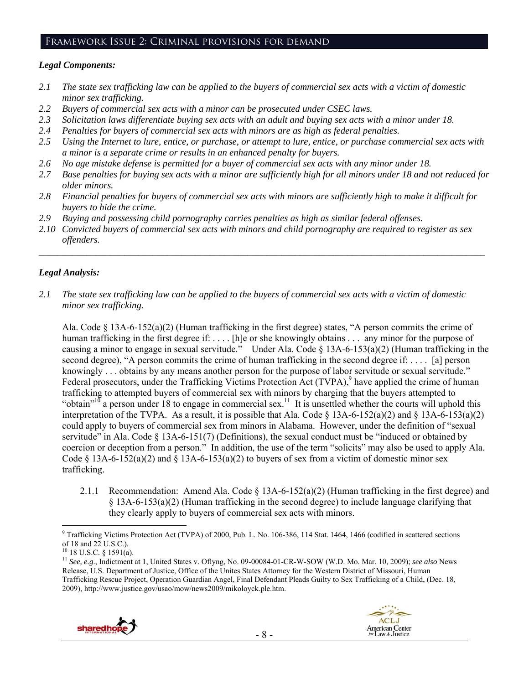#### Framework Issue 2: Criminal provisions for demand

#### *Legal Components:*

- *2.1 The state sex trafficking law can be applied to the buyers of commercial sex acts with a victim of domestic minor sex trafficking.*
- *2.2 Buyers of commercial sex acts with a minor can be prosecuted under CSEC laws.*
- *2.3 Solicitation laws differentiate buying sex acts with an adult and buying sex acts with a minor under 18.*
- *2.4 Penalties for buyers of commercial sex acts with minors are as high as federal penalties.*
- *2.5 Using the Internet to lure, entice, or purchase, or attempt to lure, entice, or purchase commercial sex acts with a minor is a separate crime or results in an enhanced penalty for buyers.*
- *2.6 No age mistake defense is permitted for a buyer of commercial sex acts with any minor under 18.*
- *2.7 Base penalties for buying sex acts with a minor are sufficiently high for all minors under 18 and not reduced for older minors.*
- *2.8 Financial penalties for buyers of commercial sex acts with minors are sufficiently high to make it difficult for buyers to hide the crime.*
- *2.9 Buying and possessing child pornography carries penalties as high as similar federal offenses.*
- *2.10 Convicted buyers of commercial sex acts with minors and child pornography are required to register as sex offenders.*

 $\mathcal{L}_\mathcal{L} = \{ \mathcal{L}_\mathcal{L} = \{ \mathcal{L}_\mathcal{L} = \{ \mathcal{L}_\mathcal{L} = \{ \mathcal{L}_\mathcal{L} = \{ \mathcal{L}_\mathcal{L} = \{ \mathcal{L}_\mathcal{L} = \{ \mathcal{L}_\mathcal{L} = \{ \mathcal{L}_\mathcal{L} = \{ \mathcal{L}_\mathcal{L} = \{ \mathcal{L}_\mathcal{L} = \{ \mathcal{L}_\mathcal{L} = \{ \mathcal{L}_\mathcal{L} = \{ \mathcal{L}_\mathcal{L} = \{ \mathcal{L}_\mathcal{$ 

## *Legal Analysis:*

*2.1 The state sex trafficking law can be applied to the buyers of commercial sex acts with a victim of domestic minor sex trafficking.* 

Ala. Code § 13A-6-152(a)(2) (Human trafficking in the first degree) states, "A person commits the crime of human trafficking in the first degree if: .... [h]e or she knowingly obtains ... any minor for the purpose of causing a minor to engage in sexual servitude." Under Ala. Code § 13A-6-153(a)(2) (Human trafficking in the second degree), "A person commits the crime of human trafficking in the second degree if: . . . . [a] person knowingly . . . obtains by any means another person for the purpose of labor servitude or sexual servitude." Federal prosecutors, under the Trafficking Victims Protection  $\text{Act}$  (TVPA),<sup>9</sup> have applied the crime of human trafficking to attempted buyers of commercial sex with minors by charging that the buyers attempted to "obtain"<sup>10</sup> a person under 18 to engage in commercial sex.<sup>11</sup> It is unsettled whether the courts will uphold this interpretation of the TVPA. As a result, it is possible that Ala. Code § 13A-6-152(a)(2) and § 13A-6-153(a)(2) could apply to buyers of commercial sex from minors in Alabama. However, under the definition of "sexual servitude" in Ala. Code § 13A-6-151(7) (Definitions), the sexual conduct must be "induced or obtained by coercion or deception from a person." In addition, the use of the term "solicits" may also be used to apply Ala. Code § 13A-6-152(a)(2) and § 13A-6-153(a)(2) to buyers of sex from a victim of domestic minor sex trafficking.

2.1.1 Recommendation: Amend Ala. Code  $\S$  13A-6-152(a)(2) (Human trafficking in the first degree) and § 13A-6-153(a)(2) (Human trafficking in the second degree) to include language clarifying that they clearly apply to buyers of commercial sex acts with minors.

<sup>11</sup> *See, e.g*., Indictment at 1, United States v. Oflyng, No. 09-00084-01-CR-W-SOW (W.D. Mo. Mar. 10, 2009); *see also* News Release, U.S. Department of Justice, Office of the Unites States Attorney for the Western District of Missouri, Human Trafficking Rescue Project, Operation Guardian Angel, Final Defendant Pleads Guilty to Sex Trafficking of a Child, (Dec. 18, 2009), http://www.justice.gov/usao/mow/news2009/mikoloyck.ple.htm.





 $\overline{a}$ <sup>9</sup> Trafficking Victims Protection Act (TVPA) of 2000, Pub. L. No. 106-386, 114 Stat. 1464, 1466 (codified in scattered sections of 18 and 22 U.S.C.).

 $10$  18 U.S.C. § 1591(a).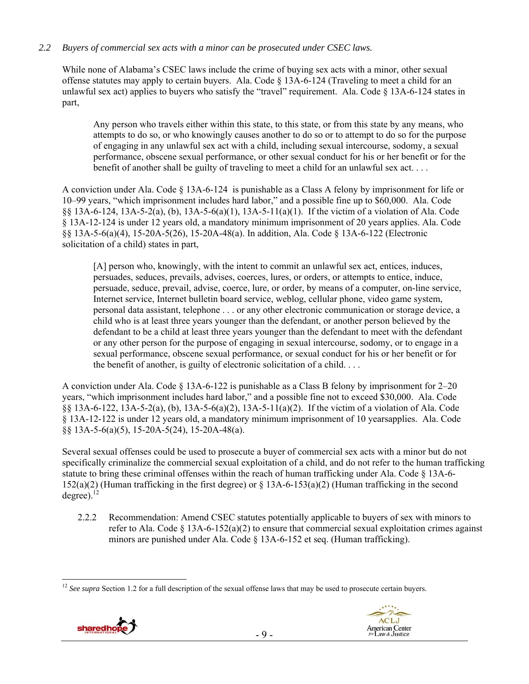## *2.2 Buyers of commercial sex acts with a minor can be prosecuted under CSEC laws.*

While none of Alabama's CSEC laws include the crime of buying sex acts with a minor, other sexual offense statutes may apply to certain buyers. Ala. Code § 13A-6-124 (Traveling to meet a child for an unlawful sex act) applies to buyers who satisfy the "travel" requirement. Ala. Code  $\S$  13A-6-124 states in part,

Any person who travels either within this state, to this state, or from this state by any means, who attempts to do so, or who knowingly causes another to do so or to attempt to do so for the purpose of engaging in any unlawful sex act with a child, including sexual intercourse, sodomy, a sexual performance, obscene sexual performance, or other sexual conduct for his or her benefit or for the benefit of another shall be guilty of traveling to meet a child for an unlawful sex act. . . .

A conviction under Ala. Code § 13A-6-124 is punishable as a Class A felony by imprisonment for life or 10–99 years, "which imprisonment includes hard labor," and a possible fine up to \$60,000. Ala. Code §§ 13A-6-124, 13A-5-2(a), (b), 13A-5-6(a)(1), 13A-5-11(a)(1). If the victim of a violation of Ala. Code § 13A-12-124 is under 12 years old, a mandatory minimum imprisonment of 20 years applies. Ala. Code §§ 13A-5-6(a)(4), 15-20A-5(26), 15-20A-48(a). In addition, Ala. Code § 13A-6-122 (Electronic solicitation of a child) states in part,

[A] person who, knowingly, with the intent to commit an unlawful sex act, entices, induces, persuades, seduces, prevails, advises, coerces, lures, or orders, or attempts to entice, induce, persuade, seduce, prevail, advise, coerce, lure, or order, by means of a computer, on-line service, Internet service, Internet bulletin board service, weblog, cellular phone, video game system, personal data assistant, telephone . . . or any other electronic communication or storage device, a child who is at least three years younger than the defendant, or another person believed by the defendant to be a child at least three years younger than the defendant to meet with the defendant or any other person for the purpose of engaging in sexual intercourse, sodomy, or to engage in a sexual performance, obscene sexual performance, or sexual conduct for his or her benefit or for the benefit of another, is guilty of electronic solicitation of a child. . . .

A conviction under Ala. Code  $\S$  13A-6-122 is punishable as a Class B felony by imprisonment for 2–20 years, "which imprisonment includes hard labor," and a possible fine not to exceed \$30,000. Ala. Code §§ 13A-6-122, 13A-5-2(a), (b), 13A-5-6(a)(2), 13A-5-11(a)(2). If the victim of a violation of Ala. Code § 13A-12-122 is under 12 years old, a mandatory minimum imprisonment of 10 yearsapplies. Ala. Code §§ 13A-5-6(a)(5), 15-20A-5(24), 15-20A-48(a).

Several sexual offenses could be used to prosecute a buyer of commercial sex acts with a minor but do not specifically criminalize the commercial sexual exploitation of a child, and do not refer to the human trafficking statute to bring these criminal offenses within the reach of human trafficking under Ala. Code § 13A-6- 152(a)(2) (Human trafficking in the first degree) or § 13A-6-153(a)(2) (Human trafficking in the second degree). $^{12}$ 

2.2.2 Recommendation: Amend CSEC statutes potentially applicable to buyers of sex with minors to refer to Ala. Code  $\S$  13A-6-152(a)(2) to ensure that commercial sexual exploitation crimes against minors are punished under Ala. Code § 13A-6-152 et seq. (Human trafficking).

 $\overline{a}$  $12$  *See supra* Section 1.2 for a full description of the sexual offense laws that may be used to prosecute certain buyers.

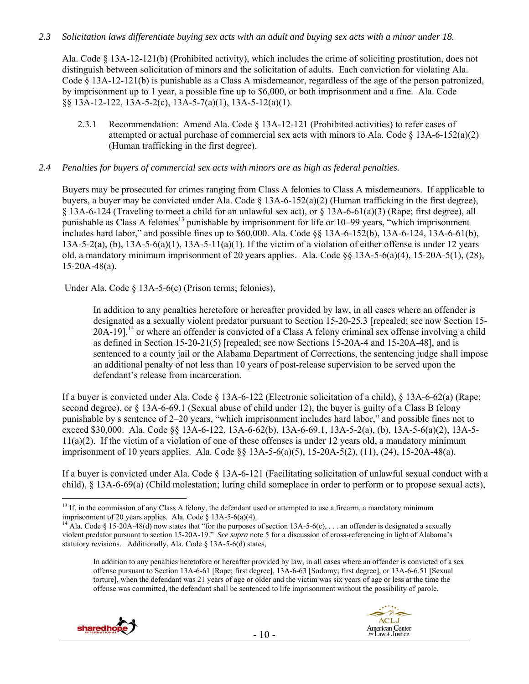### *2.3 Solicitation laws differentiate buying sex acts with an adult and buying sex acts with a minor under 18.*

Ala. Code § 13A-12-121(b) (Prohibited activity), which includes the crime of soliciting prostitution, does not distinguish between solicitation of minors and the solicitation of adults. Each conviction for violating Ala. Code § 13A-12-121(b) is punishable as a Class A misdemeanor, regardless of the age of the person patronized, by imprisonment up to 1 year, a possible fine up to \$6,000, or both imprisonment and a fine. Ala. Code §§ 13A-12-122, 13A-5-2(c), 13A-5-7(a)(1), 13A-5-12(a)(1).

2.3.1 Recommendation: Amend Ala. Code § 13A-12-121 (Prohibited activities) to refer cases of attempted or actual purchase of commercial sex acts with minors to Ala. Code  $\&$  13A-6-152(a)(2) (Human trafficking in the first degree).

#### *2.4 Penalties for buyers of commercial sex acts with minors are as high as federal penalties.*

Buyers may be prosecuted for crimes ranging from Class A felonies to Class A misdemeanors. If applicable to buyers, a buyer may be convicted under Ala. Code  $\S$  13A-6-152(a)(2) (Human trafficking in the first degree), § 13A-6-124 (Traveling to meet a child for an unlawful sex act), or § 13A-6-61(a)(3) (Rape; first degree), all punishable as Class A felonies<sup>13</sup> punishable by imprisonment for life or 10–99 years, "which imprisonment includes hard labor," and possible fines up to \$60,000. Ala. Code §§ 13A-6-152(b), 13A-6-124, 13A-6-61(b),  $13A-5-2(a)$ , (b),  $13A-5-6(a)(1)$ ,  $13A-5-11(a)(1)$ . If the victim of a violation of either offense is under 12 years old, a mandatory minimum imprisonment of 20 years applies. Ala. Code  $\S 13A-5-6(a)(4)$ , 15-20A-5(1), (28), 15-20A-48(a).

Under Ala. Code § 13A-5-6(c) (Prison terms; felonies),

In addition to any penalties heretofore or hereafter provided by law, in all cases where an offender is designated as a sexually violent predator pursuant to Section 15-20-25.3 [repealed; see now Section 15-  $20A-19$ ,<sup>14</sup> or where an offender is convicted of a Class A felony criminal sex offense involving a child as defined in Section 15-20-21(5) [repealed; see now Sections 15-20A-4 and 15-20A-48], and is sentenced to a county jail or the Alabama Department of Corrections, the sentencing judge shall impose an additional penalty of not less than 10 years of post-release supervision to be served upon the defendant's release from incarceration.

If a buyer is convicted under Ala. Code § 13A-6-122 (Electronic solicitation of a child), § 13A-6-62(a) (Rape; second degree), or § 13A-6-69.1 (Sexual abuse of child under 12), the buyer is guilty of a Class B felony punishable by s sentence of 2–20 years, "which imprisonment includes hard labor," and possible fines not to exceed \$30,000. Ala. Code §§ 13A-6-122, 13A-6-62(b), 13A-6-69.1, 13A-5-2(a), (b), 13A-5-6(a)(2), 13A-5-  $11(a)(2)$ . If the victim of a violation of one of these offenses is under 12 years old, a mandatory minimum imprisonment of 10 years applies. Ala. Code §§ 13A-5-6(a)(5), 15-20A-5(2), (11), (24), 15-20A-48(a).

If a buyer is convicted under Ala. Code § 13A-6-121 (Facilitating solicitation of unlawful sexual conduct with a child), § 13A-6-69(a) (Child molestation; luring child someplace in order to perform or to propose sexual acts),

In addition to any penalties heretofore or hereafter provided by law, in all cases where an offender is convicted of a sex offense pursuant to Section 13A-6-61 [Rape; first degree], 13A-6-63 [Sodomy; first degree], or 13A-6-6.51 [Sexual torture], when the defendant was 21 years of age or older and the victim was six years of age or less at the time the offense was committed, the defendant shall be sentenced to life imprisonment without the possibility of parole.





 $\overline{a}$  $13$  If, in the commission of any Class A felony, the defendant used or attempted to use a firearm, a mandatory minimum imprisonment of 20 years applies. Ala. Code § 13A-5-6(a)(4).<br><sup>14</sup> Ala. Code § 15-20A-48(d) now states that "for the purposes of section 13A-5-6(c), . . . an offender is designated a sexually

violent predator pursuant to section 15-20A-19." *See supra* note 5 for a discussion of cross-referencing in light of Alabama's statutory revisions. Additionally, Ala. Code § 13A-5-6(d) states,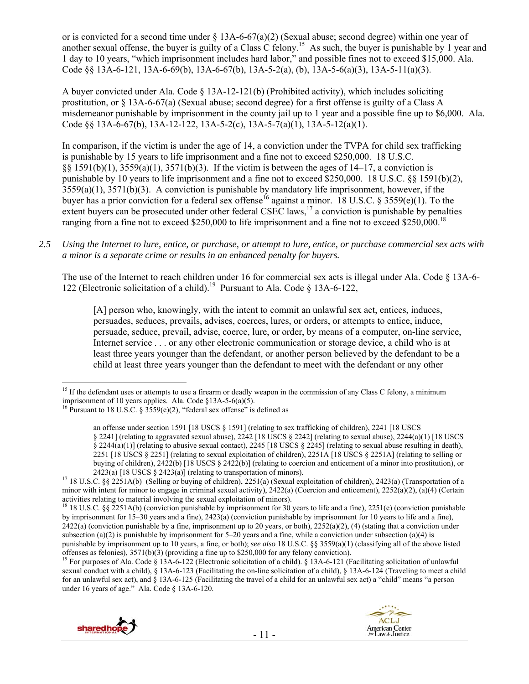or is convicted for a second time under § 13A-6-67(a)(2) (Sexual abuse; second degree) within one year of another sexual offense, the buyer is guilty of a Class C felony.<sup>15</sup> As such, the buyer is punishable by 1 year and 1 day to 10 years, "which imprisonment includes hard labor," and possible fines not to exceed \$15,000. Ala. Code  $\S$ § 13A-6-121, 13A-6-69(b), 13A-6-67(b), 13A-5-2(a), (b), 13A-5-6(a)(3), 13A-5-11(a)(3).

A buyer convicted under Ala. Code § 13A-12-121(b) (Prohibited activity), which includes soliciting prostitution, or § 13A-6-67(a) (Sexual abuse; second degree) for a first offense is guilty of a Class A misdemeanor punishable by imprisonment in the county jail up to 1 year and a possible fine up to \$6,000. Ala. Code §§ 13A-6-67(b), 13A-12-122, 13A-5-2(c), 13A-5-7(a)(1), 13A-5-12(a)(1).

In comparison, if the victim is under the age of 14, a conviction under the TVPA for child sex trafficking is punishable by 15 years to life imprisonment and a fine not to exceed \$250,000. 18 U.S.C. §§ 1591(b)(1), 3559(a)(1), 3571(b)(3). If the victim is between the ages of 14–17, a conviction is punishable by 10 years to life imprisonment and a fine not to exceed \$250,000. 18 U.S.C. §§ 1591(b)(2),  $3559(a)(1)$ ,  $3571(b)(3)$ . A conviction is punishable by mandatory life imprisonment, however, if the buyer has a prior conviction for a federal sex offense<sup>16</sup> against a minor. 18 U.S.C. § 3559(e)(1). To the extent buyers can be prosecuted under other federal CSEC laws,<sup>17</sup> a conviction is punishable by penalties ranging from a fine not to exceed \$250,000 to life imprisonment and a fine not to exceed \$250,000.<sup>18</sup>

*2.5 Using the Internet to lure, entice, or purchase, or attempt to lure, entice, or purchase commercial sex acts with a minor is a separate crime or results in an enhanced penalty for buyers.* 

The use of the Internet to reach children under 16 for commercial sex acts is illegal under Ala. Code § 13A-6- 122 (Electronic solicitation of a child).19 Pursuant to Ala. Code § 13A-6-122,

[A] person who, knowingly, with the intent to commit an unlawful sex act, entices, induces, persuades, seduces, prevails, advises, coerces, lures, or orders, or attempts to entice, induce, persuade, seduce, prevail, advise, coerce, lure, or order, by means of a computer, on-line service, Internet service . . . or any other electronic communication or storage device, a child who is at least three years younger than the defendant, or another person believed by the defendant to be a child at least three years younger than the defendant to meet with the defendant or any other

<sup>&</sup>lt;sup>19</sup> For purposes of Ala. Code § 13A-6-122 (Electronic solicitation of a child). § 13A-6-121 (Facilitating solicitation of unlawful sexual conduct with a child), § 13A-6-123 (Facilitating the on-line solicitation of a child), § 13A-6-124 (Traveling to meet a child for an unlawful sex act), and § 13A-6-125 (Facilitating the travel of a child for an unlawful sex act) a "child" means "a person under 16 years of age." Ala. Code § 13A-6-120.





 $\overline{a}$ <sup>15</sup> If the defendant uses or attempts to use a firearm or deadly weapon in the commission of any Class C felony, a minimum imprisonment of 10 years applies. Ala. Code §13A-5-6(a)(5).

<sup>&</sup>lt;sup>16</sup> Pursuant to 18 U.S.C. §  $3559(e)(2)$ , "federal sex offense" is defined as

an offense under section 1591 [18 USCS § 1591] (relating to sex trafficking of children), 2241 [18 USCS § 2241] (relating to aggravated sexual abuse), 2242 [18 USCS § 2242] (relating to sexual abuse), 2244(a)(1) [18 USCS § 2244(a)(1)] (relating to abusive sexual contact), 2245 [18 USCS § 2245] (relating to sexual abuse resulting in death), 2251 [18 USCS § 2251] (relating to sexual exploitation of children), 2251A [18 USCS § 2251A] (relating to selling or buying of children), 2422(b) [18 USCS § 2422(b)] (relating to coercion and enticement of a minor into prostitution), or 2423(a) [18 USCS § 2423(a)] (relating to transportation of minors).<br><sup>17</sup> 18 U.S.C. §§ 2251A(b) (Selling or buying of children), 2251(a) (Sexual exploitation of children), 2423(a) (Transportation of a

minor with intent for minor to engage in criminal sexual activity),  $2422(a)$  (Coercion and enticement),  $2252(a)(2)$ ,  $(a)(4)$  (Certain activities relating to material involving the sexual exploitation of minors).

<sup>&</sup>lt;sup>18</sup> 18 U.S.C. §§ 2251A(b) (conviction punishable by imprisonment for 30 years to life and a fine), 2251(e) (conviction punishable by imprisonment for 15–30 years and a fine), 2423(a) (conviction punishable by imprisonment for 10 years to life and a fine),  $2422(a)$  (conviction punishable by a fine, imprisonment up to 20 years, or both),  $2252(a)(2)$ , (4) (stating that a conviction under subsection (a)(2) is punishable by imprisonment for  $5-20$  years and a fine, while a conviction under subsection (a)(4) is punishable by imprisonment up to 10 years, a fine, or both); *see also* 18 U.S.C. §§ 3559(a)(1) (classifying all of the above listed offenses as felonies), 3571(b)(3) (providing a fine up to \$250,000 for any felony convict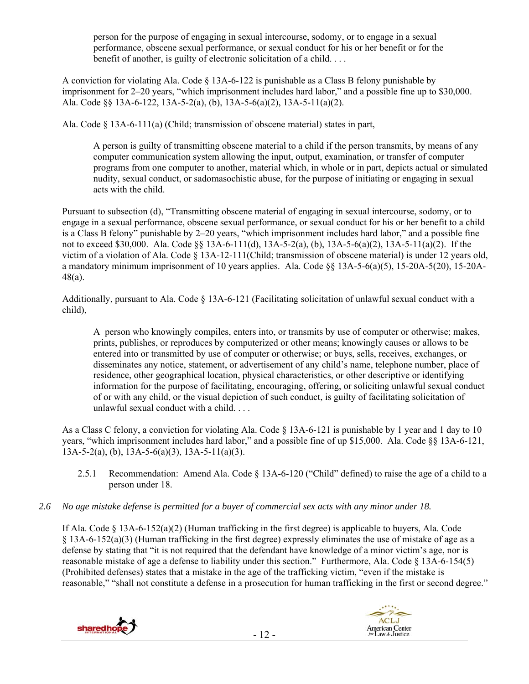person for the purpose of engaging in sexual intercourse, sodomy, or to engage in a sexual performance, obscene sexual performance, or sexual conduct for his or her benefit or for the benefit of another, is guilty of electronic solicitation of a child. . . .

A conviction for violating Ala. Code § 13A-6-122 is punishable as a Class B felony punishable by imprisonment for 2–20 years, "which imprisonment includes hard labor," and a possible fine up to \$30,000. Ala. Code §§ 13A-6-122, 13A-5-2(a), (b), 13A-5-6(a)(2), 13A-5-11(a)(2).

Ala. Code § 13A-6-111(a) (Child; transmission of obscene material) states in part,

A person is guilty of transmitting obscene material to a child if the person transmits, by means of any computer communication system allowing the input, output, examination, or transfer of computer programs from one computer to another, material which, in whole or in part, depicts actual or simulated nudity, sexual conduct, or sadomasochistic abuse, for the purpose of initiating or engaging in sexual acts with the child.

Pursuant to subsection (d), "Transmitting obscene material of engaging in sexual intercourse, sodomy, or to engage in a sexual performance, obscene sexual performance, or sexual conduct for his or her benefit to a child is a Class B felony" punishable by 2–20 years, "which imprisonment includes hard labor," and a possible fine not to exceed \$30,000. Ala. Code §§ 13A-6-111(d), 13A-5-2(a), (b), 13A-5-6(a)(2), 13A-5-11(a)(2). If the victim of a violation of Ala. Code § 13A-12-111(Child; transmission of obscene material) is under 12 years old, a mandatory minimum imprisonment of 10 years applies. Ala. Code §§ 13A-5-6(a)(5), 15-20A-5(20), 15-20A-48(a).

Additionally, pursuant to Ala. Code § 13A-6-121 (Facilitating solicitation of unlawful sexual conduct with a child),

A person who knowingly compiles, enters into, or transmits by use of computer or otherwise; makes, prints, publishes, or reproduces by computerized or other means; knowingly causes or allows to be entered into or transmitted by use of computer or otherwise; or buys, sells, receives, exchanges, or disseminates any notice, statement, or advertisement of any child's name, telephone number, place of residence, other geographical location, physical characteristics, or other descriptive or identifying information for the purpose of facilitating, encouraging, offering, or soliciting unlawful sexual conduct of or with any child, or the visual depiction of such conduct, is guilty of facilitating solicitation of unlawful sexual conduct with a child. . . .

As a Class C felony, a conviction for violating Ala. Code § 13A-6-121 is punishable by 1 year and 1 day to 10 years, "which imprisonment includes hard labor," and a possible fine of up \$15,000. Ala. Code §§ 13A-6-121,  $13A-5-2(a)$ , (b),  $13A-5-6(a)(3)$ ,  $13A-5-11(a)(3)$ .

- 2.5.1 Recommendation: Amend Ala. Code § 13A-6-120 ("Child" defined) to raise the age of a child to a person under 18.
- *2.6 No age mistake defense is permitted for a buyer of commercial sex acts with any minor under 18.*

If Ala. Code  $\S$  13A-6-152(a)(2) (Human trafficking in the first degree) is applicable to buyers, Ala. Code § 13A-6-152(a)(3) (Human trafficking in the first degree) expressly eliminates the use of mistake of age as a defense by stating that "it is not required that the defendant have knowledge of a minor victim's age, nor is reasonable mistake of age a defense to liability under this section." Furthermore, Ala. Code § 13A-6-154(5) (Prohibited defenses) states that a mistake in the age of the trafficking victim, "even if the mistake is reasonable," "shall not constitute a defense in a prosecution for human trafficking in the first or second degree."



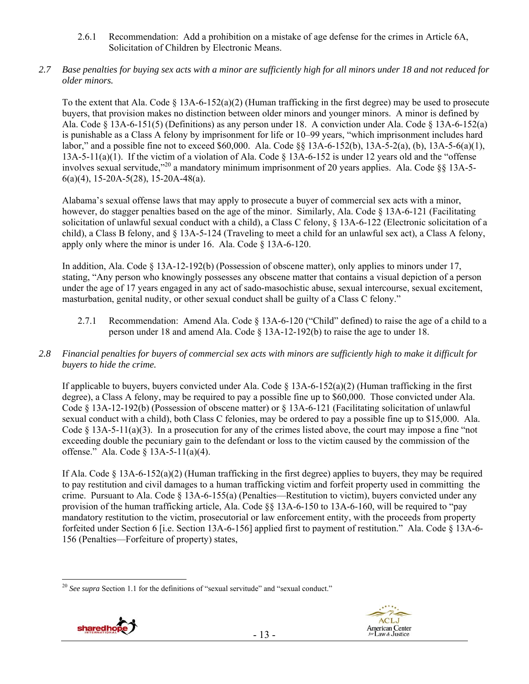- 2.6.1 Recommendation: Add a prohibition on a mistake of age defense for the crimes in Article 6A, Solicitation of Children by Electronic Means.
- *2.7 Base penalties for buying sex acts with a minor are sufficiently high for all minors under 18 and not reduced for older minors.*

To the extent that Ala. Code  $\S 13A-6-152(a)(2)$  (Human trafficking in the first degree) may be used to prosecute buyers, that provision makes no distinction between older minors and younger minors. A minor is defined by Ala. Code § 13A-6-151(5) (Definitions) as any person under 18. A conviction under Ala. Code § 13A-6-152(a) is punishable as a Class A felony by imprisonment for life or 10–99 years, "which imprisonment includes hard labor," and a possible fine not to exceed \$60,000. Ala. Code §§ 13A-6-152(b), 13A-5-2(a), (b), 13A-5-6(a)(1), 13A-5-11(a)(1). If the victim of a violation of Ala. Code § 13A-6-152 is under 12 years old and the "offense involves sexual servitude,"20 a mandatory minimum imprisonment of 20 years applies. Ala. Code §§ 13A-5- 6(a)(4), 15-20A-5(28), 15-20A-48(a).

Alabama's sexual offense laws that may apply to prosecute a buyer of commercial sex acts with a minor, however, do stagger penalties based on the age of the minor. Similarly, Ala. Code § 13A-6-121 (Facilitating solicitation of unlawful sexual conduct with a child), a Class C felony, § 13A-6-122 (Electronic solicitation of a child), a Class B felony, and § 13A-5-124 (Traveling to meet a child for an unlawful sex act), a Class A felony, apply only where the minor is under 16. Ala. Code § 13A-6-120.

In addition, Ala. Code § 13A-12-192(b) (Possession of obscene matter), only applies to minors under 17, stating, "Any person who knowingly possesses any obscene matter that contains a visual depiction of a person under the age of 17 years engaged in any act of sado-masochistic abuse, sexual intercourse, sexual excitement, masturbation, genital nudity, or other sexual conduct shall be guilty of a Class C felony."

- 2.7.1 Recommendation: Amend Ala. Code § 13A-6-120 ("Child" defined) to raise the age of a child to a person under 18 and amend Ala. Code § 13A-12-192(b) to raise the age to under 18.
- *2.8 Financial penalties for buyers of commercial sex acts with minors are sufficiently high to make it difficult for buyers to hide the crime.*

If applicable to buyers, buyers convicted under Ala. Code  $\S$  13A-6-152(a)(2) (Human trafficking in the first degree), a Class A felony, may be required to pay a possible fine up to \$60,000. Those convicted under Ala. Code § 13A-12-192(b) (Possession of obscene matter) or § 13A-6-121 (Facilitating solicitation of unlawful sexual conduct with a child), both Class C felonies, may be ordered to pay a possible fine up to \$15,000. Ala. Code § 13A-5-11(a)(3). In a prosecution for any of the crimes listed above, the court may impose a fine "not" exceeding double the pecuniary gain to the defendant or loss to the victim caused by the commission of the offense." Ala. Code § 13A-5-11(a)(4).

If Ala. Code  $\S 13A-6-152(a)(2)$  (Human trafficking in the first degree) applies to buyers, they may be required to pay restitution and civil damages to a human trafficking victim and forfeit property used in committing the crime. Pursuant to Ala. Code § 13A-6-155(a) (Penalties—Restitution to victim), buyers convicted under any provision of the human trafficking article, Ala. Code §§ 13A-6-150 to 13A-6-160, will be required to "pay mandatory restitution to the victim, prosecutorial or law enforcement entity, with the proceeds from property forfeited under Section 6 [i.e. Section 13A-6-156] applied first to payment of restitution." Ala. Code § 13A-6- 156 (Penalties—Forfeiture of property) states,

 $\overline{a}$ <sup>20</sup> *See supra* Section 1.1 for the definitions of "sexual servitude" and "sexual conduct."



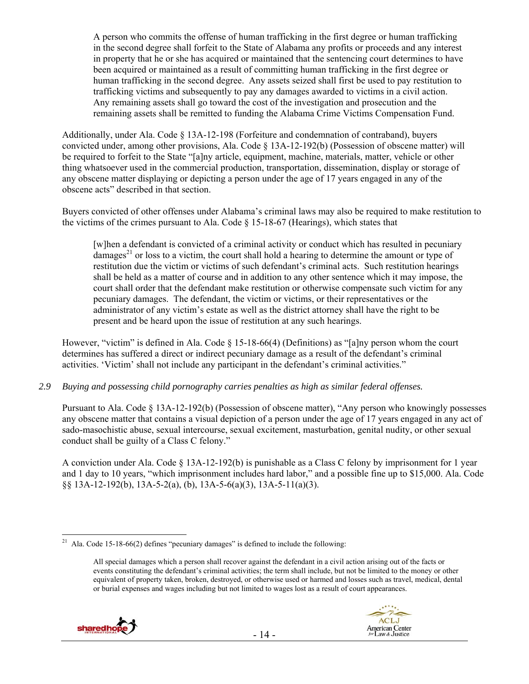A person who commits the offense of human trafficking in the first degree or human trafficking in the second degree shall forfeit to the State of Alabama any profits or proceeds and any interest in property that he or she has acquired or maintained that the sentencing court determines to have been acquired or maintained as a result of committing human trafficking in the first degree or human trafficking in the second degree. Any assets seized shall first be used to pay restitution to trafficking victims and subsequently to pay any damages awarded to victims in a civil action. Any remaining assets shall go toward the cost of the investigation and prosecution and the remaining assets shall be remitted to funding the Alabama Crime Victims Compensation Fund.

Additionally, under Ala. Code § 13A-12-198 (Forfeiture and condemnation of contraband), buyers convicted under, among other provisions, Ala. Code § 13A-12-192(b) (Possession of obscene matter) will be required to forfeit to the State "[a]ny article, equipment, machine, materials, matter, vehicle or other thing whatsoever used in the commercial production, transportation, dissemination, display or storage of any obscene matter displaying or depicting a person under the age of 17 years engaged in any of the obscene acts" described in that section.

Buyers convicted of other offenses under Alabama's criminal laws may also be required to make restitution to the victims of the crimes pursuant to Ala. Code  $\S$  15-18-67 (Hearings), which states that

[w]hen a defendant is convicted of a criminal activity or conduct which has resulted in pecuniary  $damages<sup>21</sup>$  or loss to a victim, the court shall hold a hearing to determine the amount or type of restitution due the victim or victims of such defendant's criminal acts. Such restitution hearings shall be held as a matter of course and in addition to any other sentence which it may impose, the court shall order that the defendant make restitution or otherwise compensate such victim for any pecuniary damages. The defendant, the victim or victims, or their representatives or the administrator of any victim's estate as well as the district attorney shall have the right to be present and be heard upon the issue of restitution at any such hearings.

However, "victim" is defined in Ala. Code § 15-18-66(4) (Definitions) as "[a]ny person whom the court determines has suffered a direct or indirect pecuniary damage as a result of the defendant's criminal activities. 'Victim' shall not include any participant in the defendant's criminal activities."

## *2.9 Buying and possessing child pornography carries penalties as high as similar federal offenses.*

Pursuant to Ala. Code § 13A-12-192(b) (Possession of obscene matter), "Any person who knowingly possesses any obscene matter that contains a visual depiction of a person under the age of 17 years engaged in any act of sado-masochistic abuse, sexual intercourse, sexual excitement, masturbation, genital nudity, or other sexual conduct shall be guilty of a Class C felony."

A conviction under Ala. Code § 13A-12-192(b) is punishable as a Class C felony by imprisonment for 1 year and 1 day to 10 years, "which imprisonment includes hard labor," and a possible fine up to \$15,000. Ala. Code §§ 13A-12-192(b), 13A-5-2(a), (b), 13A-5-6(a)(3), 13A-5-11(a)(3).

All special damages which a person shall recover against the defendant in a civil action arising out of the facts or events constituting the defendant's criminal activities; the term shall include, but not be limited to the money or other equivalent of property taken, broken, destroyed, or otherwise used or harmed and losses such as travel, medical, dental or burial expenses and wages including but not limited to wages lost as a result of court appearances.



 $\overline{a}$ 

<sup>&</sup>lt;sup>21</sup> Ala. Code 15-18-66(2) defines "pecuniary damages" is defined to include the following: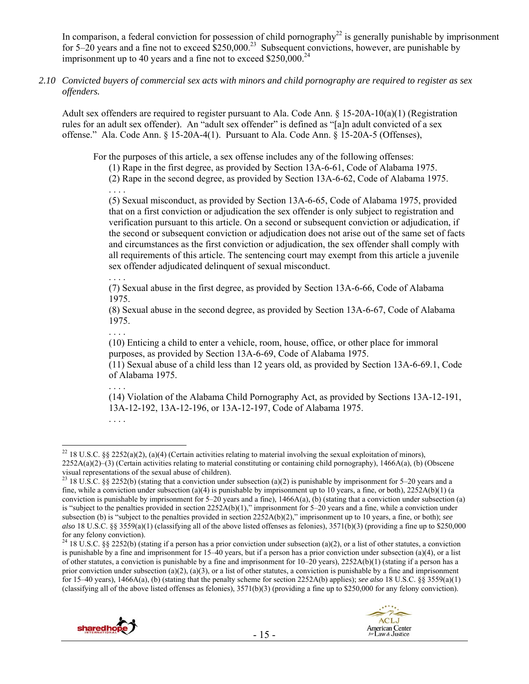In comparison, a federal conviction for possession of child pornography<sup>22</sup> is generally punishable by imprisonment for  $5-20$  years and a fine not to exceed  $$250,000.<sup>23</sup>$  Subsequent convictions, however, are punishable by imprisonment up to 40 years and a fine not to exceed  $$250,000.<sup>24</sup>$ 

*2.10 Convicted buyers of commercial sex acts with minors and child pornography are required to register as sex offenders.* 

Adult sex offenders are required to register pursuant to Ala. Code Ann. § 15-20A-10(a)(1) (Registration rules for an adult sex offender). An "adult sex offender" is defined as "[a]n adult convicted of a sex offense." Ala. Code Ann. § 15-20A-4(1). Pursuant to Ala. Code Ann. § 15-20A-5 (Offenses),

For the purposes of this article, a sex offense includes any of the following offenses:

- (1) Rape in the first degree, as provided by Section 13A-6-61, Code of Alabama 1975.
- (2) Rape in the second degree, as provided by Section 13A-6-62, Code of Alabama 1975.

. . . . (5) Sexual misconduct, as provided by Section 13A-6-65, Code of Alabama 1975, provided that on a first conviction or adjudication the sex offender is only subject to registration and verification pursuant to this article. On a second or subsequent conviction or adjudication, if the second or subsequent conviction or adjudication does not arise out of the same set of facts and circumstances as the first conviction or adjudication, the sex offender shall comply with all requirements of this article. The sentencing court may exempt from this article a juvenile sex offender adjudicated delinquent of sexual misconduct.

. . . .

(7) Sexual abuse in the first degree, as provided by Section 13A-6-66, Code of Alabama 1975.

(8) Sexual abuse in the second degree, as provided by Section 13A-6-67, Code of Alabama 1975.

. . . . (10) Enticing a child to enter a vehicle, room, house, office, or other place for immoral purposes, as provided by Section 13A-6-69, Code of Alabama 1975.

(11) Sexual abuse of a child less than 12 years old, as provided by Section 13A-6-69.1, Code of Alabama 1975.

(14) Violation of the Alabama Child Pornography Act, as provided by Sections 13A-12-191, 13A-12-192, 13A-12-196, or 13A-12-197, Code of Alabama 1975.

 $\overline{a}$ 

. . . .

<sup>&</sup>lt;sup>24</sup> 18 U.S.C. §§ 2252(b) (stating if a person has a prior conviction under subsection (a)(2), or a list of other statutes, a conviction is punishable by a fine and imprisonment for 15–40 years, but if a person has a prior conviction under subsection (a)(4), or a list of other statutes, a conviction is punishable by a fine and imprisonment for  $10-20$  years),  $2252A(b)(1)$  (stating if a person has a prior conviction under subsection (a)(2), (a)(3), or a list of other statutes, a conviction is punishable by a fine and imprisonment for 15–40 years), 1466A(a), (b) (stating that the penalty scheme for section 2252A(b) applies); *see also* 18 U.S.C. §§ 3559(a)(1) (classifying all of the above listed offenses as felonies), 3571(b)(3) (providing a fine up to \$250,000 for any felony conviction).





<sup>. . . .</sup> 

<sup>&</sup>lt;sup>22</sup> 18 U.S.C. §§ 2252(a)(2), (a)(4) (Certain activities relating to material involving the sexual exploitation of minors), 2252A(a)(2)–(3) (Certain activities relating to material constituting or containing child pornography), 1466A(a), (b) (Obscene visual representations of the sexual abuse of children).

<sup>&</sup>lt;sup>23</sup> 18 U.S.C. §§ 2252(b) (stating that a conviction under subsection (a)(2) is punishable by imprisonment for 5–20 years and a fine, while a conviction under subsection (a)(4) is punishable by imprisonment up to 10 years, a fine, or both),  $2252A(b)(1)$  (a conviction is punishable by imprisonment for  $5-20$  years and a fine),  $1466A(a)$ , (b) (stating that a conviction under subsection (a) is "subject to the penalties provided in section 2252A(b)(1)," imprisonment for 5–20 years and a fine, while a conviction under subsection (b) is "subject to the penalties provided in section 2252A(b)(2)," imprisonment up to 10 years, a fine, or both); *see also* 18 U.S.C. §§ 3559(a)(1) (classifying all of the above listed offenses as felonies), 3571(b)(3) (providing a fine up to \$250,000 for any felony conviction).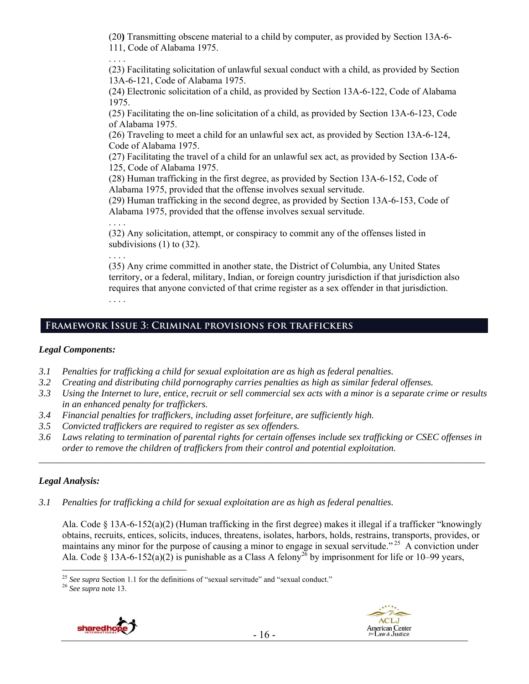(20**)** Transmitting obscene material to a child by computer, as provided by Section 13A-6- 111, Code of Alabama 1975.

(23) Facilitating solicitation of unlawful sexual conduct with a child, as provided by Section 13A-6-121, Code of Alabama 1975.

(24) Electronic solicitation of a child, as provided by Section 13A-6-122, Code of Alabama 1975.

(25) Facilitating the on-line solicitation of a child, as provided by Section 13A-6-123, Code of Alabama 1975.

(26) Traveling to meet a child for an unlawful sex act, as provided by Section 13A-6-124, Code of Alabama 1975.

(27) Facilitating the travel of a child for an unlawful sex act, as provided by Section 13A-6- 125, Code of Alabama 1975.

(28) Human trafficking in the first degree, as provided by Section 13A-6-152, Code of Alabama 1975, provided that the offense involves sexual servitude.

(29) Human trafficking in the second degree, as provided by Section 13A-6-153, Code of Alabama 1975, provided that the offense involves sexual servitude.

. . . . (32) Any solicitation, attempt, or conspiracy to commit any of the offenses listed in subdivisions (1) to (32).

. . . .

. . . .

(35) Any crime committed in another state, the District of Columbia, any United States territory, or a federal, military, Indian, or foreign country jurisdiction if that jurisdiction also requires that anyone convicted of that crime register as a sex offender in that jurisdiction. . . . .

# **Framework Issue 3: Criminal provisions for traffickers**

## *Legal Components:*

- *3.1 Penalties for trafficking a child for sexual exploitation are as high as federal penalties.*
- *3.2 Creating and distributing child pornography carries penalties as high as similar federal offenses.*
- *3.3 Using the Internet to lure, entice, recruit or sell commercial sex acts with a minor is a separate crime or results in an enhanced penalty for traffickers.*
- *3.4 Financial penalties for traffickers, including asset forfeiture, are sufficiently high.*
- *3.5 Convicted traffickers are required to register as sex offenders.*
- *3.6 Laws relating to termination of parental rights for certain offenses include sex trafficking or CSEC offenses in order to remove the children of traffickers from their control and potential exploitation. \_\_\_\_\_\_\_\_\_\_\_\_\_\_\_\_\_\_\_\_\_\_\_\_\_\_\_\_\_\_\_\_\_\_\_\_\_\_\_\_\_\_\_\_\_\_\_\_\_\_\_\_\_\_\_\_\_\_\_\_\_\_\_\_\_\_\_\_\_\_\_\_\_\_\_\_\_\_\_\_\_\_\_\_\_\_\_\_\_\_\_\_\_\_*

## *Legal Analysis:*

 $\overline{a}$ 

*3.1 Penalties for trafficking a child for sexual exploitation are as high as federal penalties.* 

Ala. Code § 13A-6-152(a)(2) (Human trafficking in the first degree) makes it illegal if a trafficker "knowingly obtains, recruits, entices, solicits, induces, threatens, isolates, harbors, holds, restrains, transports, provides, or maintains any minor for the purpose of causing a minor to engage in sexual servitude."<sup>25</sup> A conviction under Ala. Code § 13A-6-152(a)(2) is punishable as a Class A felony<sup>26</sup> by imprisonment for life or 10–99 years,





<sup>&</sup>lt;sup>25</sup> *See supra* Section 1.1 for the definitions of "sexual servitude" and "sexual conduct." <sup>26</sup> *See supra* note 13.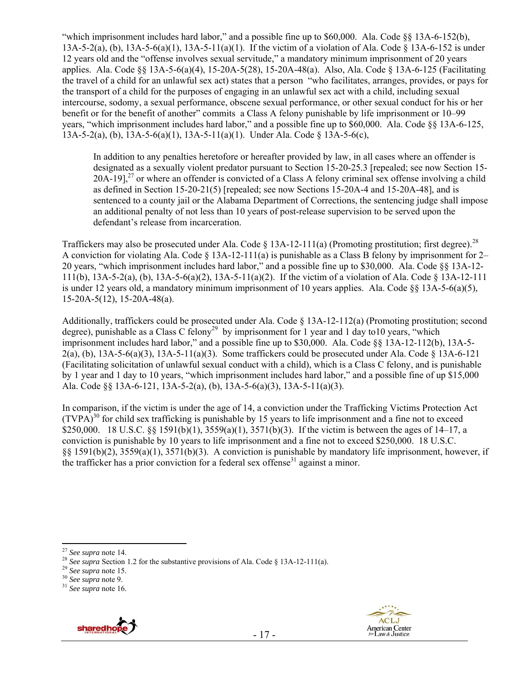"which imprisonment includes hard labor," and a possible fine up to \$60,000. Ala. Code §§ 13A-6-152(b), 13A-5-2(a), (b), 13A-5-6(a)(1), 13A-5-11(a)(1). If the victim of a violation of Ala. Code § 13A-6-152 is under 12 years old and the "offense involves sexual servitude," a mandatory minimum imprisonment of 20 years applies. Ala. Code §§ 13A-5-6(a)(4), 15-20A-5(28), 15-20A-48(a). Also, Ala. Code § 13A-6-125 (Facilitating the travel of a child for an unlawful sex act) states that a person "who facilitates, arranges, provides, or pays for the transport of a child for the purposes of engaging in an unlawful sex act with a child, including sexual intercourse, sodomy, a sexual performance, obscene sexual performance, or other sexual conduct for his or her benefit or for the benefit of another" commits a Class A felony punishable by life imprisonment or 10–99 years, "which imprisonment includes hard labor," and a possible fine up to \$60,000. Ala. Code §§ 13A-6-125, 13A-5-2(a), (b), 13A-5-6(a)(1), 13A-5-11(a)(1). Under Ala. Code § 13A-5-6(c),

In addition to any penalties heretofore or hereafter provided by law, in all cases where an offender is designated as a sexually violent predator pursuant to Section 15-20-25.3 [repealed; see now Section 15-  $20A-19$ <sup>27</sup> or where an offender is convicted of a Class A felony criminal sex offense involving a child as defined in Section 15-20-21(5) [repealed; see now Sections 15-20A-4 and 15-20A-48], and is sentenced to a county jail or the Alabama Department of Corrections, the sentencing judge shall impose an additional penalty of not less than 10 years of post-release supervision to be served upon the defendant's release from incarceration.

Traffickers may also be prosecuted under Ala. Code  $\S$  13A-12-111(a) (Promoting prostitution; first degree).<sup>28</sup> A conviction for violating Ala. Code § 13A-12-111(a) is punishable as a Class B felony by imprisonment for 2– 20 years, "which imprisonment includes hard labor," and a possible fine up to \$30,000. Ala. Code §§ 13A-12- 111(b), 13A-5-2(a), (b), 13A-5-6(a)(2), 13A-5-11(a)(2). If the victim of a violation of Ala. Code § 13A-12-111 is under 12 years old, a mandatory minimum imprisonment of 10 years applies. Ala. Code §§ 13A-5-6(a)(5), 15-20A-5(12), 15-20A-48(a).

Additionally, traffickers could be prosecuted under Ala. Code § 13A-12-112(a) (Promoting prostitution; second degree), punishable as a Class C felony<sup>29</sup> by imprisonment for 1 year and 1 day to10 years, "which imprisonment includes hard labor," and a possible fine up to \$30,000. Ala. Code §§ 13A-12-112(b), 13A-5- 2(a), (b),  $13A-5-6(a)(3)$ ,  $13A-5-11(a)(3)$ . Some traffickers could be prosecuted under Ala. Code § 13A-6-121 (Facilitating solicitation of unlawful sexual conduct with a child), which is a Class C felony, and is punishable by 1 year and 1 day to 10 years, "which imprisonment includes hard labor," and a possible fine of up \$15,000 Ala. Code §§ 13A-6-121, 13A-5-2(a), (b), 13A-5-6(a)(3), 13A-5-11(a)(3).

In comparison, if the victim is under the age of 14, a conviction under the Trafficking Victims Protection Act  $(TVPA)^{30}$  for child sex trafficking is punishable by 15 years to life imprisonment and a fine not to exceed \$250,000. 18 U.S.C. §§ 1591(b)(1), 3559(a)(1), 3571(b)(3). If the victim is between the ages of 14–17, a conviction is punishable by 10 years to life imprisonment and a fine not to exceed \$250,000. 18 U.S.C. §§ 1591(b)(2), 3559(a)(1), 3571(b)(3). A conviction is punishable by mandatory life imprisonment, however, if the trafficker has a prior conviction for a federal sex offense<sup>31</sup> against a minor.





<sup>&</sup>lt;sup>27</sup> See supra note 14.

<sup>&</sup>lt;sup>28</sup> *See supra* Section 1.2 for the substantive provisions of Ala. Code § 13A-12-111(a).<br><sup>29</sup> *See supra* note 15. <sup>30</sup> *See supra* note 9. <sup>31</sup> *See supra* note 16.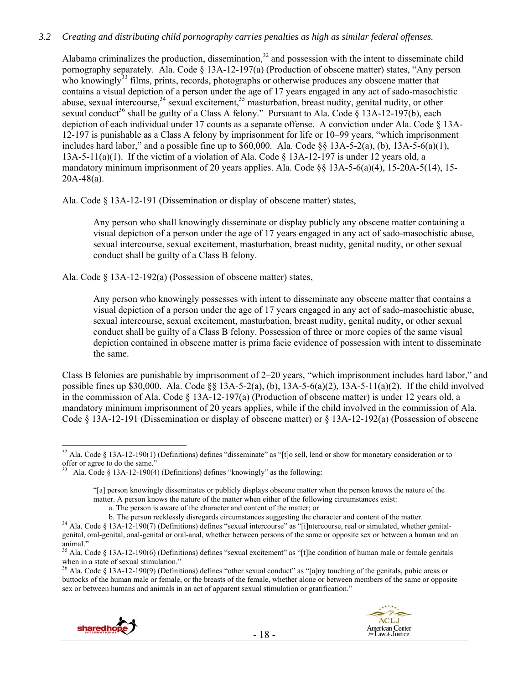## *3.2 Creating and distributing child pornography carries penalties as high as similar federal offenses.*

Alabama criminalizes the production, dissemination, $32$  and possession with the intent to disseminate child pornography separately. Ala. Code § 13A-12-197(a) (Production of obscene matter) states, "Any person who knowingly $33$  films, prints, records, photographs or otherwise produces any obscene matter that contains a visual depiction of a person under the age of 17 years engaged in any act of sado-masochistic abuse, sexual intercourse,  $34$  sexual excitement,  $35$  masturbation, breast nudity, genital nudity, or other sexual conduct<sup>36</sup> shall be guilty of a Class A felony." Pursuant to Ala. Code § 13A-12-197(b), each depiction of each individual under 17 counts as a separate offense. A conviction under Ala. Code § 13A-12-197 is punishable as a Class A felony by imprisonment for life or 10–99 years, "which imprisonment includes hard labor," and a possible fine up to  $$60,000$ . Ala. Code  $\&$  13A-5-2(a), (b), 13A-5-6(a)(1), 13A-5-11(a)(1). If the victim of a violation of Ala. Code § 13A-12-197 is under 12 years old, a mandatory minimum imprisonment of 20 years applies. Ala. Code  $\S$ § 13A-5-6(a)(4), 15-20A-5(14), 15- $20A-48(a)$ .

Ala. Code § 13A-12-191 (Dissemination or display of obscene matter) states,

Any person who shall knowingly disseminate or display publicly any obscene matter containing a visual depiction of a person under the age of 17 years engaged in any act of sado-masochistic abuse, sexual intercourse, sexual excitement, masturbation, breast nudity, genital nudity, or other sexual conduct shall be guilty of a Class B felony.

Ala. Code § 13A-12-192(a) (Possession of obscene matter) states,

Any person who knowingly possesses with intent to disseminate any obscene matter that contains a visual depiction of a person under the age of 17 years engaged in any act of sado-masochistic abuse, sexual intercourse, sexual excitement, masturbation, breast nudity, genital nudity, or other sexual conduct shall be guilty of a Class B felony. Possession of three or more copies of the same visual depiction contained in obscene matter is prima facie evidence of possession with intent to disseminate the same.

Class B felonies are punishable by imprisonment of 2–20 years, "which imprisonment includes hard labor," and possible fines up \$30,000. Ala. Code  $\S 13A-5-2(a)$ , (b),  $13A-5-6(a)(2)$ ,  $13A-5-11(a)(2)$ . If the child involved in the commission of Ala. Code  $\S$  13A-12-197(a) (Production of obscene matter) is under 12 years old, a mandatory minimum imprisonment of 20 years applies, while if the child involved in the commission of Ala. Code § 13A-12-191 (Dissemination or display of obscene matter) or § 13A-12-192(a) (Possession of obscene

<sup>36</sup> Ala. Code § 13A-12-190(9) (Definitions) defines "other sexual conduct" as "[a]ny touching of the genitals, pubic areas or buttocks of the human male or female, or the breasts of the female, whether alone or between members of the same or opposite sex or between humans and animals in an act of apparent sexual stimulation or gratification."



 $\overline{a}$ <sup>32</sup> Ala. Code § 13A-12-190(1) (Definitions) defines "disseminate" as "[t]o sell, lend or show for monetary consideration or to offer or agree to do the same."

Ala. Code § 13A-12-190(4) (Definitions) defines "knowingly" as the following:

<sup>&</sup>quot;[a] person knowingly disseminates or publicly displays obscene matter when the person knows the nature of the matter. A person knows the nature of the matter when either of the following circumstances exist:

a. The person is aware of the character and content of the matter; or

<sup>&</sup>lt;sup>34</sup> Ala. Code § 13A-12-190(7) (Definitions) defines "sexual intercourse" as "[i]ntercourse, real or simulated, whether genitalgenital, oral-genital, anal-genital or oral-anal, whether between persons of the same or opposite sex or between a human and an animal."

<sup>&</sup>lt;sup>35</sup> Ala. Code § 13A-12-190(6) (Definitions) defines "sexual excitement" as "[t]he condition of human male or female genitals when in a state of sexual stimulation."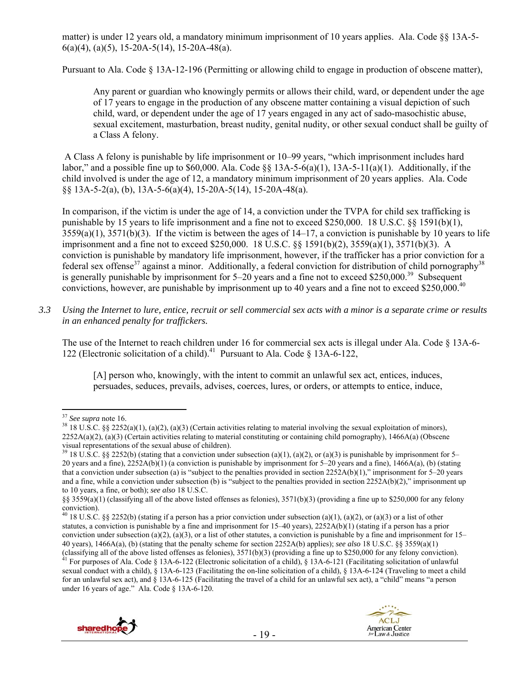matter) is under 12 years old, a mandatory minimum imprisonment of 10 years applies. Ala. Code §§ 13A-5-  $6(a)(4)$ ,  $(a)(5)$ , 15-20A-5(14), 15-20A-48(a).

Pursuant to Ala. Code § 13A-12-196 (Permitting or allowing child to engage in production of obscene matter),

Any parent or guardian who knowingly permits or allows their child, ward, or dependent under the age of 17 years to engage in the production of any obscene matter containing a visual depiction of such child, ward, or dependent under the age of 17 years engaged in any act of sado-masochistic abuse, sexual excitement, masturbation, breast nudity, genital nudity, or other sexual conduct shall be guilty of a Class A felony.

 A Class A felony is punishable by life imprisonment or 10–99 years, "which imprisonment includes hard labor," and a possible fine up to \$60,000. Ala. Code  $\S$ § 13A-5-6(a)(1), 13A-5-11(a)(1). Additionally, if the child involved is under the age of 12, a mandatory minimum imprisonment of 20 years applies. Ala. Code §§ 13A-5-2(a), (b), 13A-5-6(a)(4), 15-20A-5(14), 15-20A-48(a).

In comparison, if the victim is under the age of 14, a conviction under the TVPA for child sex trafficking is punishable by 15 years to life imprisonment and a fine not to exceed \$250,000. 18 U.S.C. §§ 1591(b)(1),  $3559(a)(1)$ ,  $3571(b)(3)$ . If the victim is between the ages of  $14-17$ , a conviction is punishable by 10 years to life imprisonment and a fine not to exceed \$250,000. 18 U.S.C. §§ 1591(b)(2), 3559(a)(1), 3571(b)(3). A conviction is punishable by mandatory life imprisonment, however, if the trafficker has a prior conviction for a federal sex offense<sup>37</sup> against a minor. Additionally, a federal conviction for distribution of child pornography<sup>38</sup> is generally punishable by imprisonment for  $5-20$  years and a fine not to exceed \$250,000.<sup>39</sup> Subsequent convictions, however, are punishable by imprisonment up to 40 years and a fine not to exceed \$250,000.<sup>40</sup>

*3.3 Using the Internet to lure, entice, recruit or sell commercial sex acts with a minor is a separate crime or results in an enhanced penalty for traffickers.* 

The use of the Internet to reach children under 16 for commercial sex acts is illegal under Ala. Code § 13A-6- 122 (Electronic solicitation of a child).<sup>41</sup> Pursuant to Ala. Code  $\frac{13A-6-122}{2}$ ,

[A] person who, knowingly, with the intent to commit an unlawful sex act, entices, induces, persuades, seduces, prevails, advises, coerces, lures, or orders, or attempts to entice, induce,

sexual conduct with a child), § 13A-6-123 (Facilitating the on-line solicitation of a child), § 13A-6-124 (Traveling to meet a child for an unlawful sex act), and § 13A-6-125 (Facilitating the travel of a child for an unlawful sex act), a "child" means "a person under 16 years of age." Ala. Code § 13A-6-120.



 $37$  See supra note 16.

<sup>&</sup>lt;sup>38</sup> 18 U.S.C. §§ 2252(a)(1), (a)(2), (a)(3) (Certain activities relating to material involving the sexual exploitation of minors),  $2252A(a)(2)$ , (a)(3) (Certain activities relating to material constituting or containing child pornography), 1466A(a) (Obscene visual representations of the sexual abuse of children).

<sup>&</sup>lt;sup>39</sup> 18 U.S.C. §§ 2252(b) (stating that a conviction under subsection (a)(1), (a)(2), or (a)(3) is punishable by imprisonment for 5– 20 years and a fine), 2252A(b)(1) (a conviction is punishable by imprisonment for 5–20 years and a fine), 1466A(a), (b) (stating that a conviction under subsection (a) is "subject to the penalties provided in section  $2252A(b)(1)$ ," imprisonment for 5–20 years and a fine, while a conviction under subsection (b) is "subject to the penalties provided in section  $2252A(b)(2)$ ," imprisonment up to 10 years, a fine, or both); *see also* 18 U.S.C.

<sup>§§ 3559(</sup>a)(1) (classifying all of the above listed offenses as felonies), 3571(b)(3) (providing a fine up to \$250,000 for any felony conviction).

<sup>&</sup>lt;sup>40</sup> 18 U.S.C. §§ 2252(b) (stating if a person has a prior conviction under subsection (a)(1), (a)(2), or (a)(3) or a list of other statutes, a conviction is punishable by a fine and imprisonment for 15–40 years), 2252A(b)(1) (stating if a person has a prior conviction under subsection (a)(2), (a)(3), or a list of other statutes, a conviction is punishable by a fine and imprisonment for  $15-$ 40 years), 1466A(a), (b) (stating that the penalty scheme for section 2252A(b) applies); *see also* 18 U.S.C. §§ 3559(a)(1) (classifying all of the above listed offenses as felonies),  $3571(b)(3)$  (providing a fine up to \$250,000 for any felony conviction).<br><sup>41</sup> For purposes of Ala. Code § 13A-6-122 (Electronic solicitation of a child), § 13A-6-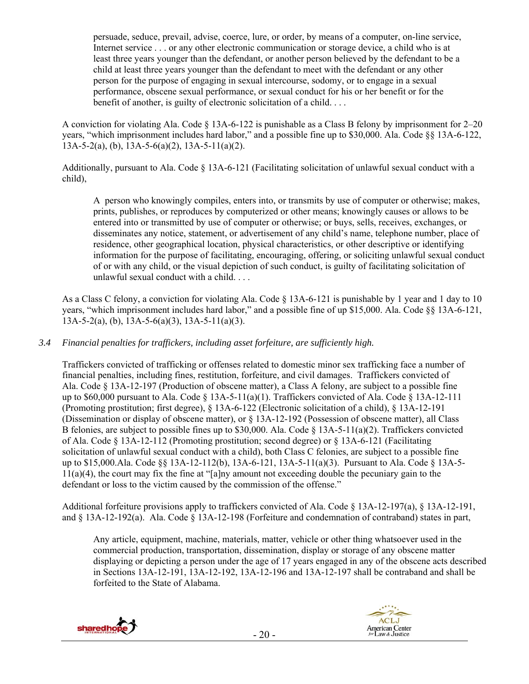persuade, seduce, prevail, advise, coerce, lure, or order, by means of a computer, on-line service, Internet service . . . or any other electronic communication or storage device, a child who is at least three years younger than the defendant, or another person believed by the defendant to be a child at least three years younger than the defendant to meet with the defendant or any other person for the purpose of engaging in sexual intercourse, sodomy, or to engage in a sexual performance, obscene sexual performance, or sexual conduct for his or her benefit or for the benefit of another, is guilty of electronic solicitation of a child. . . .

A conviction for violating Ala. Code § 13A-6-122 is punishable as a Class B felony by imprisonment for 2–20 years, "which imprisonment includes hard labor," and a possible fine up to \$30,000. Ala. Code §§ 13A-6-122, 13A-5-2(a), (b),  $\overline{1}3A-5-6(a)(2)$ ,  $13A-5-11(a)(2)$ .

Additionally, pursuant to Ala. Code § 13A-6-121 (Facilitating solicitation of unlawful sexual conduct with a child),

A person who knowingly compiles, enters into, or transmits by use of computer or otherwise; makes, prints, publishes, or reproduces by computerized or other means; knowingly causes or allows to be entered into or transmitted by use of computer or otherwise; or buys, sells, receives, exchanges, or disseminates any notice, statement, or advertisement of any child's name, telephone number, place of residence, other geographical location, physical characteristics, or other descriptive or identifying information for the purpose of facilitating, encouraging, offering, or soliciting unlawful sexual conduct of or with any child, or the visual depiction of such conduct, is guilty of facilitating solicitation of unlawful sexual conduct with a child. . . .

As a Class C felony, a conviction for violating Ala. Code § 13A-6-121 is punishable by 1 year and 1 day to 10 years, "which imprisonment includes hard labor," and a possible fine of up \$15,000. Ala. Code §§ 13A-6-121,  $13A-5-2(a)$ , (b),  $13A-5-6(a)(3)$ ,  $13A-5-11(a)(3)$ .

*3.4 Financial penalties for traffickers, including asset forfeiture, are sufficiently high.* 

Traffickers convicted of trafficking or offenses related to domestic minor sex trafficking face a number of financial penalties, including fines, restitution, forfeiture, and civil damages. Traffickers convicted of Ala. Code § 13A-12-197 (Production of obscene matter), a Class A felony, are subject to a possible fine up to \$60,000 pursuant to Ala. Code  $\S$  13A-5-11(a)(1). Traffickers convicted of Ala. Code  $\S$  13A-12-111 (Promoting prostitution; first degree), § 13A-6-122 (Electronic solicitation of a child), § 13A-12-191 (Dissemination or display of obscene matter), or § 13A-12-192 (Possession of obscene matter), all Class B felonies, are subject to possible fines up to \$30,000. Ala. Code § 13A-5-11(a)(2). Traffickers convicted of Ala. Code § 13A-12-112 (Promoting prostitution; second degree) or § 13A-6-121 (Facilitating solicitation of unlawful sexual conduct with a child), both Class C felonies, are subject to a possible fine up to \$15,000.Ala. Code §§ 13A-12-112(b), 13A-6-121, 13A-5-11(a)(3). Pursuant to Ala. Code § 13A-5- 11(a)(4), the court may fix the fine at "[a]ny amount not exceeding double the pecuniary gain to the defendant or loss to the victim caused by the commission of the offense."

Additional forfeiture provisions apply to traffickers convicted of Ala. Code § 13A-12-197(a), § 13A-12-191, and § 13A-12-192(a). Ala. Code § 13A-12-198 (Forfeiture and condemnation of contraband) states in part,

Any article, equipment, machine, materials, matter, vehicle or other thing whatsoever used in the commercial production, transportation, dissemination, display or storage of any obscene matter displaying or depicting a person under the age of 17 years engaged in any of the obscene acts described in Sections 13A-12-191, 13A-12-192, 13A-12-196 and 13A-12-197 shall be contraband and shall be forfeited to the State of Alabama.



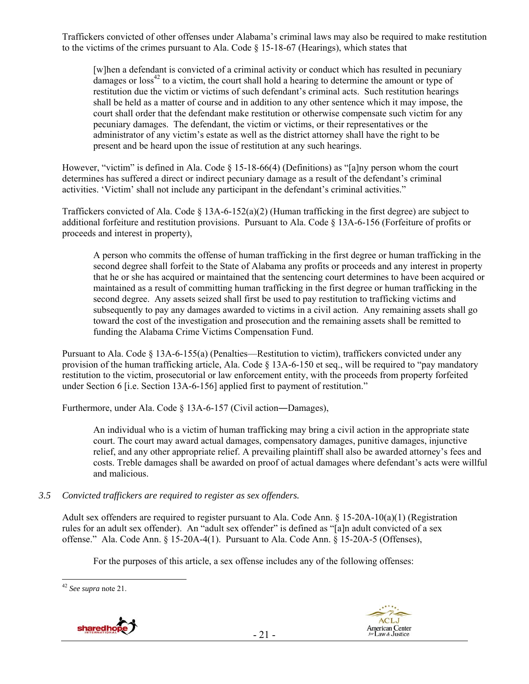Traffickers convicted of other offenses under Alabama's criminal laws may also be required to make restitution to the victims of the crimes pursuant to Ala. Code § 15-18-67 (Hearings), which states that

[w]hen a defendant is convicted of a criminal activity or conduct which has resulted in pecuniary damages or  $loss^{42}$  to a victim, the court shall hold a hearing to determine the amount or type of restitution due the victim or victims of such defendant's criminal acts. Such restitution hearings shall be held as a matter of course and in addition to any other sentence which it may impose, the court shall order that the defendant make restitution or otherwise compensate such victim for any pecuniary damages. The defendant, the victim or victims, or their representatives or the administrator of any victim's estate as well as the district attorney shall have the right to be present and be heard upon the issue of restitution at any such hearings.

However, "victim" is defined in Ala. Code § 15-18-66(4) (Definitions) as "[a]ny person whom the court determines has suffered a direct or indirect pecuniary damage as a result of the defendant's criminal activities. 'Victim' shall not include any participant in the defendant's criminal activities."

Traffickers convicted of Ala. Code  $\S$  13A-6-152(a)(2) (Human trafficking in the first degree) are subject to additional forfeiture and restitution provisions. Pursuant to Ala. Code § 13A-6-156 (Forfeiture of profits or proceeds and interest in property),

A person who commits the offense of human trafficking in the first degree or human trafficking in the second degree shall forfeit to the State of Alabama any profits or proceeds and any interest in property that he or she has acquired or maintained that the sentencing court determines to have been acquired or maintained as a result of committing human trafficking in the first degree or human trafficking in the second degree. Any assets seized shall first be used to pay restitution to trafficking victims and subsequently to pay any damages awarded to victims in a civil action. Any remaining assets shall go toward the cost of the investigation and prosecution and the remaining assets shall be remitted to funding the Alabama Crime Victims Compensation Fund.

Pursuant to Ala. Code § 13A-6-155(a) (Penalties—Restitution to victim), traffickers convicted under any provision of the human trafficking article, Ala. Code § 13A-6-150 et seq., will be required to "pay mandatory restitution to the victim, prosecutorial or law enforcement entity, with the proceeds from property forfeited under Section 6 [i.e. Section 13A-6-156] applied first to payment of restitution."

Furthermore, under Ala. Code § 13A-6-157 (Civil action—Damages),

An individual who is a victim of human trafficking may bring a civil action in the appropriate state court. The court may award actual damages, compensatory damages, punitive damages, injunctive relief, and any other appropriate relief. A prevailing plaintiff shall also be awarded attorney's fees and costs. Treble damages shall be awarded on proof of actual damages where defendant's acts were willful and malicious.

#### *3.5 Convicted traffickers are required to register as sex offenders.*

Adult sex offenders are required to register pursuant to Ala. Code Ann. § 15-20A-10(a)(1) (Registration rules for an adult sex offender). An "adult sex offender" is defined as "[a]n adult convicted of a sex offense." Ala. Code Ann. § 15-20A-4(1). Pursuant to Ala. Code Ann. § 15-20A-5 (Offenses),

For the purposes of this article, a sex offense includes any of the following offenses:

 $\overline{a}$ 





<sup>42</sup> *See supra* note 21.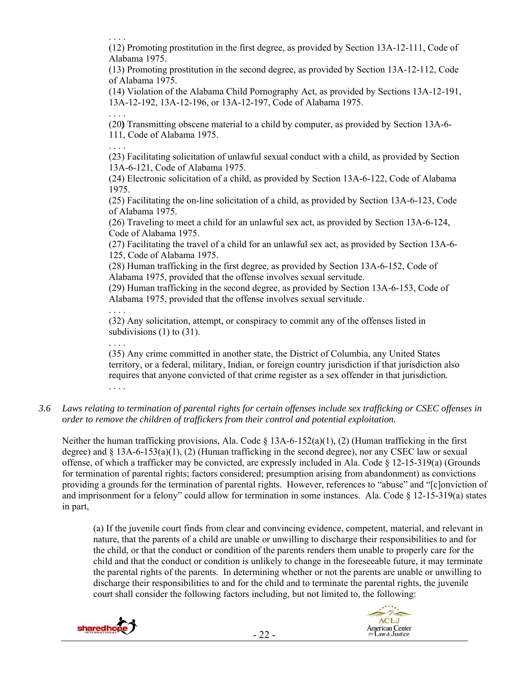. . . .

(12) Promoting prostitution in the first degree, as provided by Section 13A-12-111, Code of Alabama 1975.

(13) Promoting prostitution in the second degree, as provided by Section 13A-12-112, Code of Alabama 1975.

(14) Violation of the Alabama Child Pornography Act, as provided by Sections 13A-12-191, 13A-12-192, 13A-12-196, or 13A-12-197, Code of Alabama 1975.

. . . . (20**)** Transmitting obscene material to a child by computer, as provided by Section 13A-6- 111, Code of Alabama 1975.

. . . .

(23) Facilitating solicitation of unlawful sexual conduct with a child, as provided by Section 13A-6-121, Code of Alabama 1975.

(24) Electronic solicitation of a child, as provided by Section 13A-6-122, Code of Alabama 1975.

(25) Facilitating the on-line solicitation of a child, as provided by Section 13A-6-123, Code of Alabama 1975.

(26) Traveling to meet a child for an unlawful sex act, as provided by Section 13A-6-124, Code of Alabama 1975.

(27) Facilitating the travel of a child for an unlawful sex act, as provided by Section 13A-6- 125, Code of Alabama 1975.

(28) Human trafficking in the first degree, as provided by Section 13A-6-152, Code of Alabama 1975, provided that the offense involves sexual servitude.

(29) Human trafficking in the second degree, as provided by Section 13A-6-153, Code of Alabama 1975, provided that the offense involves sexual servitude.

. . . .

(32) Any solicitation, attempt, or conspiracy to commit any of the offenses listed in subdivisions (1) to (31).

. . . .

(35) Any crime committed in another state, the District of Columbia, any United States territory, or a federal, military, Indian, or foreign country jurisdiction if that jurisdiction also requires that anyone convicted of that crime register as a sex offender in that jurisdiction. . . . .

*3.6 Laws relating to termination of parental rights for certain offenses include sex trafficking or CSEC offenses in order to remove the children of traffickers from their control and potential exploitation.* 

Neither the human trafficking provisions, Ala. Code  $\S$  13A-6-152(a)(1), (2) (Human trafficking in the first degree) and  $\S$  13A-6-153(a)(1), (2) (Human trafficking in the second degree), nor any CSEC law or sexual offense, of which a trafficker may be convicted, are expressly included in Ala. Code  $\S$  12-15-319(a) (Grounds for termination of parental rights; factors considered; presumption arising from abandonment) as convictions providing a grounds for the termination of parental rights. However, references to "abuse" and "[c]onviction of and imprisonment for a felony" could allow for termination in some instances. Ala. Code § 12-15-319(a) states in part,

(a) If the juvenile court finds from clear and convincing evidence, competent, material, and relevant in nature, that the parents of a child are unable or unwilling to discharge their responsibilities to and for the child, or that the conduct or condition of the parents renders them unable to properly care for the child and that the conduct or condition is unlikely to change in the foreseeable future, it may terminate the parental rights of the parents. In determining whether or not the parents are unable or unwilling to discharge their responsibilities to and for the child and to terminate the parental rights, the juvenile court shall consider the following factors including, but not limited to, the following:

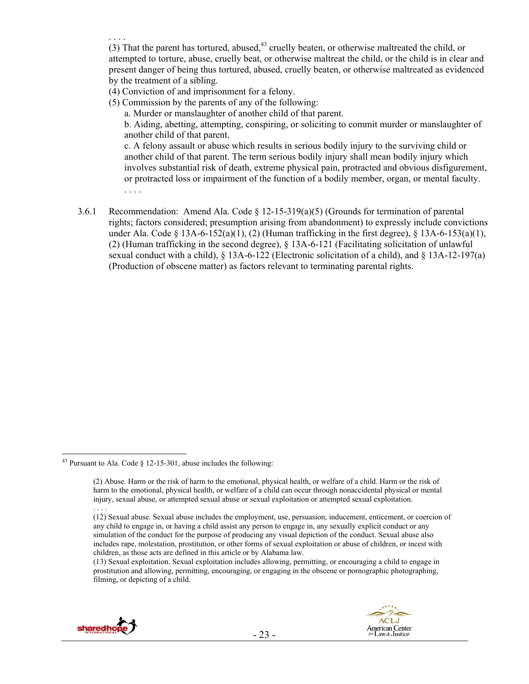. . . . (3) That the parent has tortured, abused,  $43$  cruelly beaten, or otherwise maltreated the child, or attempted to torture, abuse, cruelly beat, or otherwise maltreat the child, or the child is in clear and present danger of being thus tortured, abused, cruelly beaten, or otherwise maltreated as evidenced by the treatment of a sibling.

- (4) Conviction of and imprisonment for a felony.
- (5) Commission by the parents of any of the following:
	- a. Murder or manslaughter of another child of that parent.

b. Aiding, abetting, attempting, conspiring, or soliciting to commit murder or manslaughter of another child of that parent.

c. A felony assault or abuse which results in serious bodily injury to the surviving child or another child of that parent. The term serious bodily injury shall mean bodily injury which involves substantial risk of death, extreme physical pain, protracted and obvious disfigurement, or protracted loss or impairment of the function of a bodily member, organ, or mental faculty. . . . .

3.6.1 Recommendation: Amend Ala. Code § 12-15-319(a)(5) (Grounds for termination of parental rights; factors considered; presumption arising from abandonment) to expressly include convictions under Ala. Code  $\S$  13A-6-152(a)(1), (2) (Human trafficking in the first degree),  $\S$  13A-6-153(a)(1), (2) (Human trafficking in the second degree), § 13A-6-121 (Facilitating solicitation of unlawful sexual conduct with a child), § 13A-6-122 (Electronic solicitation of a child), and § 13A-12-197(a) (Production of obscene matter) as factors relevant to terminating parental rights.

<sup>(13)</sup> Sexual exploitation. Sexual exploitation includes allowing, permitting, or encouraging a child to engage in prostitution and allowing, permitting, encouraging, or engaging in the obscene or pornographic photographing, filming, or depicting of a child.





 $\overline{a}$ <sup>43</sup> Pursuant to Ala. Code  $\S$  12-15-301, abuse includes the following:

<sup>(2)</sup> Abuse. Harm or the risk of harm to the emotional, physical health, or welfare of a child. Harm or the risk of harm to the emotional, physical health, or welfare of a child can occur through nonaccidental physical or mental injury, sexual abuse, or attempted sexual abuse or sexual exploitation or attempted sexual exploitation. . . . .

<sup>(12)</sup> Sexual abuse. Sexual abuse includes the employment, use, persuasion, inducement, enticement, or coercion of any child to engage in, or having a child assist any person to engage in, any sexually explicit conduct or any simulation of the conduct for the purpose of producing any visual depiction of the conduct. Sexual abuse also includes rape, molestation, prostitution, or other forms of sexual exploitation or abuse of children, or incest with children, as those acts are defined in this article or by Alabama law.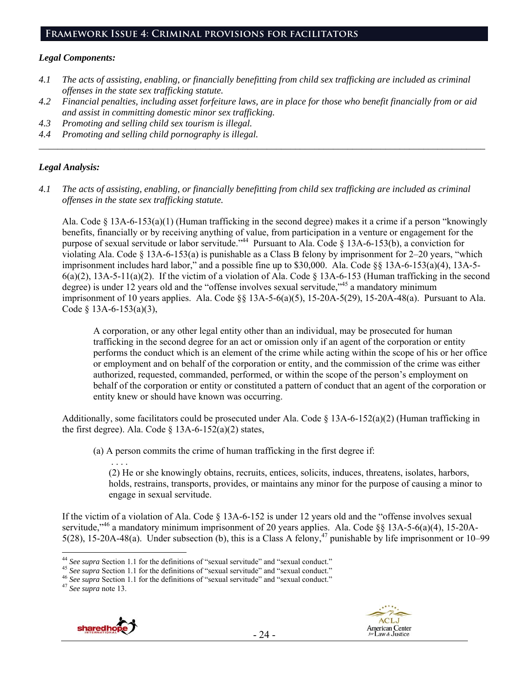## **Framework Issue 4: Criminal provisions for facilitators**

#### *Legal Components:*

- *4.1 The acts of assisting, enabling, or financially benefitting from child sex trafficking are included as criminal offenses in the state sex trafficking statute.*
- *4.2 Financial penalties, including asset forfeiture laws, are in place for those who benefit financially from or aid and assist in committing domestic minor sex trafficking.*

*\_\_\_\_\_\_\_\_\_\_\_\_\_\_\_\_\_\_\_\_\_\_\_\_\_\_\_\_\_\_\_\_\_\_\_\_\_\_\_\_\_\_\_\_\_\_\_\_\_\_\_\_\_\_\_\_\_\_\_\_\_\_\_\_\_\_\_\_\_\_\_\_\_\_\_\_\_\_\_\_\_\_\_\_\_\_\_\_\_\_\_\_\_\_* 

- *4.3 Promoting and selling child sex tourism is illegal.*
- *4.4 Promoting and selling child pornography is illegal.*

## *Legal Analysis:*

*4.1 The acts of assisting, enabling, or financially benefitting from child sex trafficking are included as criminal offenses in the state sex trafficking statute.* 

Ala. Code § 13A-6-153(a)(1) (Human trafficking in the second degree) makes it a crime if a person "knowingly benefits, financially or by receiving anything of value, from participation in a venture or engagement for the purpose of sexual servitude or labor servitude."<sup>44</sup> Pursuant to Ala. Code § 13A-6-153(b), a conviction for violating Ala. Code § 13A-6-153(a) is punishable as a Class B felony by imprisonment for 2–20 years, "which imprisonment includes hard labor," and a possible fine up to \$30,000. Ala. Code  $\S$ § 13A-6-153(a)(4), 13A-5- $6(a)(2)$ , 13A-5-11(a)(2). If the victim of a violation of Ala. Code  $\S$  13A-6-153 (Human trafficking in the second degree) is under 12 years old and the "offense involves sexual servitude,"<sup>45</sup> a mandatory minimum imprisonment of 10 years applies. Ala. Code  $\S$  13A-5-6(a)(5), 15-20A-5(29), 15-20A-48(a). Pursuant to Ala. Code  $§$  13A-6-153(a)(3),

A corporation, or any other legal entity other than an individual, may be prosecuted for human trafficking in the second degree for an act or omission only if an agent of the corporation or entity performs the conduct which is an element of the crime while acting within the scope of his or her office or employment and on behalf of the corporation or entity, and the commission of the crime was either authorized, requested, commanded, performed, or within the scope of the person's employment on behalf of the corporation or entity or constituted a pattern of conduct that an agent of the corporation or entity knew or should have known was occurring.

Additionally, some facilitators could be prosecuted under Ala. Code  $\S$  13A-6-152(a)(2) (Human trafficking in the first degree). Ala. Code  $\S$  13A-6-152(a)(2) states,

(a) A person commits the crime of human trafficking in the first degree if:

 . . . . (2) He or she knowingly obtains, recruits, entices, solicits, induces, threatens, isolates, harbors, holds, restrains, transports, provides, or maintains any minor for the purpose of causing a minor to engage in sexual servitude.

If the victim of a violation of Ala. Code § 13A-6-152 is under 12 years old and the "offense involves sexual servitude."<sup>46</sup> a mandatory minimum imprisonment of 20 years applies. Ala. Code §§ 13A-5-6(a)(4), 15-20A-5(28), 15-20A-48(a). Under subsection (b), this is a Class A felony,<sup>47</sup> punishable by life imprisonment or 10–99





<sup>&</sup>lt;sup>44</sup> See supra Section 1.1 for the definitions of "sexual servitude" and "sexual conduct."

<sup>&</sup>lt;sup>45</sup> See supra Section 1.1 for the definitions of "sexual servitude" and "sexual conduct."<br><sup>46</sup> See supra Section 1.1 for the definitions of "sexual servitude" and "sexual conduct."<br><sup>47</sup> See supra note 13.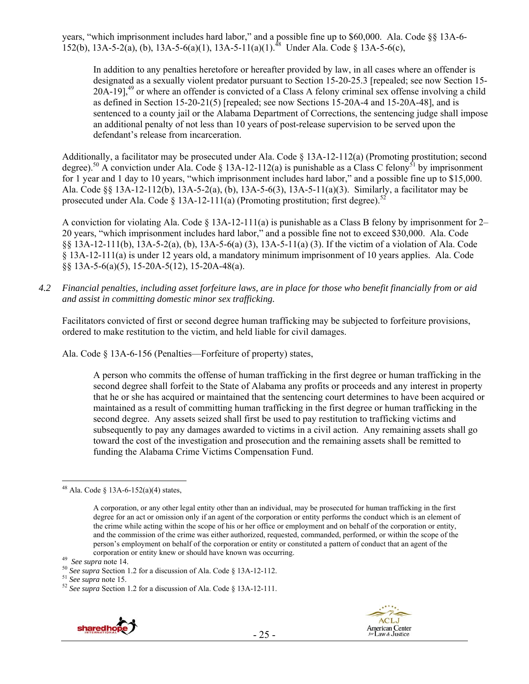years, "which imprisonment includes hard labor," and a possible fine up to \$60,000. Ala. Code §§ 13A-6- 152(b), 13A-5-2(a), (b), 13A-5-6(a)(1), 13A-5-11(a)(1).<sup>48</sup> Under Ala. Code § 13A-5-6(c),

In addition to any penalties heretofore or hereafter provided by law, in all cases where an offender is designated as a sexually violent predator pursuant to Section 15-20-25.3 [repealed; see now Section 15- 20A-19 $1^{49}$  or where an offender is convicted of a Class A felony criminal sex offense involving a child as defined in Section 15-20-21(5) [repealed; see now Sections 15-20A-4 and 15-20A-48], and is sentenced to a county jail or the Alabama Department of Corrections, the sentencing judge shall impose an additional penalty of not less than 10 years of post-release supervision to be served upon the defendant's release from incarceration.

Additionally, a facilitator may be prosecuted under Ala. Code § 13A-12-112(a) (Promoting prostitution; second degree).<sup>50</sup> A conviction under Ala. Code § 13A-12-112(a) is punishable as a Class C felony<sup>51</sup> by imprisonment for 1 year and 1 day to 10 years, "which imprisonment includes hard labor," and a possible fine up to \$15,000. Ala. Code §§ 13A-12-112(b), 13A-5-2(a), (b), 13A-5-6(3), 13A-5-11(a)(3). Similarly, a facilitator may be prosecuted under Ala. Code  $\S$  13A-12-111(a) (Promoting prostitution; first degree).<sup>52</sup>

A conviction for violating Ala. Code § 13A-12-111(a) is punishable as a Class B felony by imprisonment for 2– 20 years, "which imprisonment includes hard labor," and a possible fine not to exceed \$30,000. Ala. Code §§ 13A-12-111(b), 13A-5-2(a), (b), 13A-5-6(a) (3), 13A-5-11(a) (3). If the victim of a violation of Ala. Code § 13A-12-111(a) is under 12 years old, a mandatory minimum imprisonment of 10 years applies. Ala. Code §§ 13A-5-6(a)(5), 15-20A-5(12), 15-20A-48(a).

*4.2 Financial penalties, including asset forfeiture laws, are in place for those who benefit financially from or aid and assist in committing domestic minor sex trafficking.* 

Facilitators convicted of first or second degree human trafficking may be subjected to forfeiture provisions, ordered to make restitution to the victim, and held liable for civil damages.

Ala. Code § 13A-6-156 (Penalties—Forfeiture of property) states,

A person who commits the offense of human trafficking in the first degree or human trafficking in the second degree shall forfeit to the State of Alabama any profits or proceeds and any interest in property that he or she has acquired or maintained that the sentencing court determines to have been acquired or maintained as a result of committing human trafficking in the first degree or human trafficking in the second degree. Any assets seized shall first be used to pay restitution to trafficking victims and subsequently to pay any damages awarded to victims in a civil action. Any remaining assets shall go toward the cost of the investigation and prosecution and the remaining assets shall be remitted to funding the Alabama Crime Victims Compensation Fund.

 $\overline{a}$ 



<sup>&</sup>lt;sup>48</sup> Ala. Code § 13A-6-152(a)(4) states,

A corporation, or any other legal entity other than an individual, may be prosecuted for human trafficking in the first degree for an act or omission only if an agent of the corporation or entity performs the conduct which is an element of the crime while acting within the scope of his or her office or employment and on behalf of the corporation or entity, and the commission of the crime was either authorized, requested, commanded, performed, or within the scope of the person's employment on behalf of the corporation or entity or constituted a pattern of conduct that an agent of the

corporation or entity knew or should have known was occurring.<br><sup>49</sup> See supra note 14.<br><sup>50</sup> See supra Section 1.2 for a discussion of Ala. Code § 13A-12-112.<br><sup>51</sup> See supra note 15.<br><sup>52</sup> See supra Section 1.2 for a discus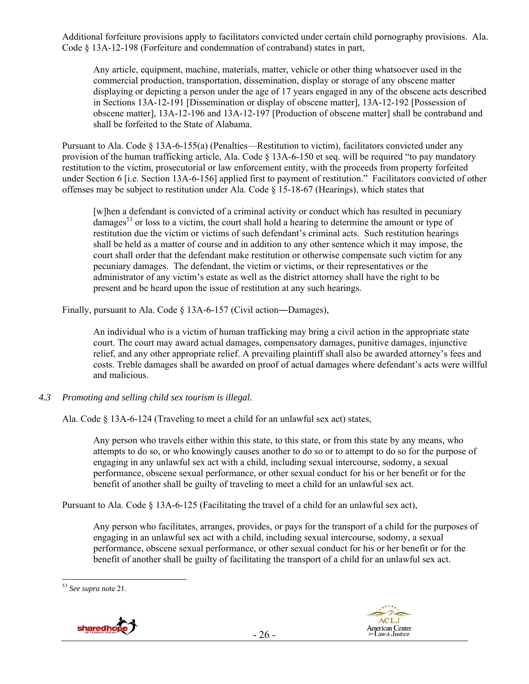Additional forfeiture provisions apply to facilitators convicted under certain child pornography provisions. Ala. Code § 13A-12-198 (Forfeiture and condemnation of contraband) states in part,

Any article, equipment, machine, materials, matter, vehicle or other thing whatsoever used in the commercial production, transportation, dissemination, display or storage of any obscene matter displaying or depicting a person under the age of 17 years engaged in any of the obscene acts described in Sections 13A-12-191 [Dissemination or display of obscene matter], 13A-12-192 [Possession of obscene matter], 13A-12-196 and 13A-12-197 [Production of obscene matter] shall be contraband and shall be forfeited to the State of Alabama.

Pursuant to Ala. Code § 13A-6-155(a) (Penalties—Restitution to victim), facilitators convicted under any provision of the human trafficking article, Ala. Code § 13A-6-150 et seq. will be required "to pay mandatory restitution to the victim, prosecutorial or law enforcement entity, with the proceeds from property forfeited under Section 6 [i.e. Section 13A-6-156] applied first to payment of restitution." Facilitators convicted of other offenses may be subject to restitution under Ala. Code  $\S$  15-18-67 (Hearings), which states that

[w]hen a defendant is convicted of a criminal activity or conduct which has resulted in pecuniary damages<sup>53</sup> or loss to a victim, the court shall hold a hearing to determine the amount or type of restitution due the victim or victims of such defendant's criminal acts. Such restitution hearings shall be held as a matter of course and in addition to any other sentence which it may impose, the court shall order that the defendant make restitution or otherwise compensate such victim for any pecuniary damages. The defendant, the victim or victims, or their representatives or the administrator of any victim's estate as well as the district attorney shall have the right to be present and be heard upon the issue of restitution at any such hearings.

Finally, pursuant to Ala. Code § 13A-6-157 (Civil action—Damages),

An individual who is a victim of human trafficking may bring a civil action in the appropriate state court. The court may award actual damages, compensatory damages, punitive damages, injunctive relief, and any other appropriate relief. A prevailing plaintiff shall also be awarded attorney's fees and costs. Treble damages shall be awarded on proof of actual damages where defendant's acts were willful and malicious.

*4.3 Promoting and selling child sex tourism is illegal.* 

Ala. Code § 13A-6-124 (Traveling to meet a child for an unlawful sex act) states,

Any person who travels either within this state, to this state, or from this state by any means, who attempts to do so, or who knowingly causes another to do so or to attempt to do so for the purpose of engaging in any unlawful sex act with a child, including sexual intercourse, sodomy, a sexual performance, obscene sexual performance, or other sexual conduct for his or her benefit or for the benefit of another shall be guilty of traveling to meet a child for an unlawful sex act.

Pursuant to Ala. Code § 13A-6-125 (Facilitating the travel of a child for an unlawful sex act),

Any person who facilitates, arranges, provides, or pays for the transport of a child for the purposes of engaging in an unlawful sex act with a child, including sexual intercourse, sodomy, a sexual performance, obscene sexual performance, or other sexual conduct for his or her benefit or for the benefit of another shall be guilty of facilitating the transport of a child for an unlawful sex act.

 $\overline{a}$ <sup>53</sup> *See supra* note 21.



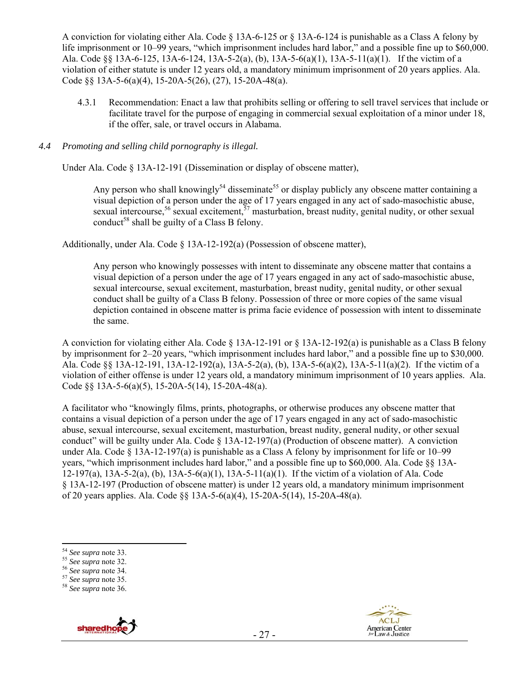A conviction for violating either Ala. Code § 13A-6-125 or § 13A-6-124 is punishable as a Class A felony by life imprisonment or 10–99 years, "which imprisonment includes hard labor," and a possible fine up to \$60,000. Ala. Code §§ 13A-6-125, 13A-6-124, 13A-5-2(a), (b), 13A-5-6(a)(1), 13A-5-11(a)(1). If the victim of a violation of either statute is under 12 years old, a mandatory minimum imprisonment of 20 years applies. Ala. Code §§ 13A-5-6(a)(4), 15-20A-5(26), (27), 15-20A-48(a).

4.3.1 Recommendation: Enact a law that prohibits selling or offering to sell travel services that include or facilitate travel for the purpose of engaging in commercial sexual exploitation of a minor under 18, if the offer, sale, or travel occurs in Alabama.

#### *4.4 Promoting and selling child pornography is illegal.*

Under Ala. Code § 13A-12-191 (Dissemination or display of obscene matter),

Any person who shall knowingly<sup>54</sup> disseminate<sup>55</sup> or display publicly any obscene matter containing a visual depiction of a person under the age of 17 years engaged in any act of sado-masochistic abuse, sexual intercourse,<sup>56</sup> sexual excitement,<sup>57</sup> masturbation, breast nudity, genital nudity, or other sexual conduct<sup>58</sup> shall be guilty of a Class B felony.

Additionally, under Ala. Code § 13A-12-192(a) (Possession of obscene matter),

Any person who knowingly possesses with intent to disseminate any obscene matter that contains a visual depiction of a person under the age of 17 years engaged in any act of sado-masochistic abuse, sexual intercourse, sexual excitement, masturbation, breast nudity, genital nudity, or other sexual conduct shall be guilty of a Class B felony. Possession of three or more copies of the same visual depiction contained in obscene matter is prima facie evidence of possession with intent to disseminate the same.

A conviction for violating either Ala. Code § 13A-12-191 or § 13A-12-192(a) is punishable as a Class B felony by imprisonment for 2–20 years, "which imprisonment includes hard labor," and a possible fine up to \$30,000. Ala. Code §§ 13A-12-191, 13A-12-192(a), 13A-5-2(a), (b), 13A-5-6(a)(2), 13A-5-11(a)(2). If the victim of a violation of either offense is under 12 years old, a mandatory minimum imprisonment of 10 years applies. Ala. Code §§ 13A-5-6(a)(5), 15-20A-5(14), 15-20A-48(a).

A facilitator who "knowingly films, prints, photographs, or otherwise produces any obscene matter that contains a visual depiction of a person under the age of 17 years engaged in any act of sado-masochistic abuse, sexual intercourse, sexual excitement, masturbation, breast nudity, general nudity, or other sexual conduct" will be guilty under Ala. Code  $\S$  13A-12-197(a) (Production of obscene matter). A conviction under Ala. Code § 13A-12-197(a) is punishable as a Class A felony by imprisonment for life or 10–99 years, "which imprisonment includes hard labor," and a possible fine up to \$60,000. Ala. Code §§ 13A-12-197(a), 13A-5-2(a), (b), 13A-5-6(a)(1), 13A-5-11(a)(1). If the victim of a violation of Ala. Code § 13A-12-197 (Production of obscene matter) is under 12 years old, a mandatory minimum imprisonment of 20 years applies. Ala. Code §§ 13A-5-6(a)(4), 15-20A-5(14), 15-20A-48(a).





<sup>&</sup>lt;sup>54</sup> See supra note 33.

<sup>54</sup> *See supra* note 33. 55 *See supra* note 32. 56 *See supra* note 34. 57 *See supra* note 35. 58 *See supra* note 36.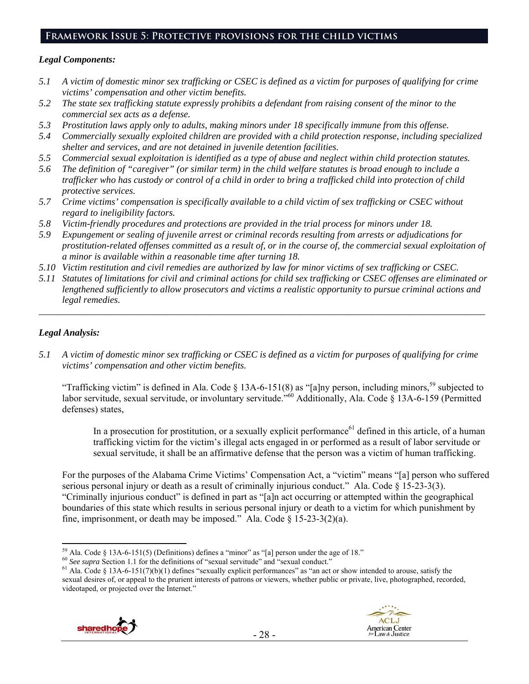# **Framework Issue 5: Protective provisions for the child victims**

#### *Legal Components:*

- *5.1 A victim of domestic minor sex trafficking or CSEC is defined as a victim for purposes of qualifying for crime victims' compensation and other victim benefits.*
- *5.2 The state sex trafficking statute expressly prohibits a defendant from raising consent of the minor to the commercial sex acts as a defense.*
- *5.3 Prostitution laws apply only to adults, making minors under 18 specifically immune from this offense.*
- *5.4 Commercially sexually exploited children are provided with a child protection response, including specialized shelter and services, and are not detained in juvenile detention facilities.*
- *5.5 Commercial sexual exploitation is identified as a type of abuse and neglect within child protection statutes.*
- *5.6 The definition of "caregiver" (or similar term) in the child welfare statutes is broad enough to include a trafficker who has custody or control of a child in order to bring a trafficked child into protection of child protective services.*
- *5.7 Crime victims' compensation is specifically available to a child victim of sex trafficking or CSEC without regard to ineligibility factors.*
- *5.8 Victim-friendly procedures and protections are provided in the trial process for minors under 18.*
- *5.9 Expungement or sealing of juvenile arrest or criminal records resulting from arrests or adjudications for prostitution-related offenses committed as a result of, or in the course of, the commercial sexual exploitation of a minor is available within a reasonable time after turning 18.*
- *5.10 Victim restitution and civil remedies are authorized by law for minor victims of sex trafficking or CSEC.*
- *5.11 Statutes of limitations for civil and criminal actions for child sex trafficking or CSEC offenses are eliminated or lengthened sufficiently to allow prosecutors and victims a realistic opportunity to pursue criminal actions and legal remedies.*

*\_\_\_\_\_\_\_\_\_\_\_\_\_\_\_\_\_\_\_\_\_\_\_\_\_\_\_\_\_\_\_\_\_\_\_\_\_\_\_\_\_\_\_\_\_\_\_\_\_\_\_\_\_\_\_\_\_\_\_\_\_\_\_\_\_\_\_\_\_\_\_\_\_\_\_\_\_\_\_\_\_\_\_\_\_\_\_\_\_\_\_\_\_\_* 

## *Legal Analysis:*

*5.1 A victim of domestic minor sex trafficking or CSEC is defined as a victim for purposes of qualifying for crime victims' compensation and other victim benefits.* 

"Trafficking victim" is defined in Ala. Code § 13A-6-151(8) as "[a]ny person, including minors,<sup>59</sup> subjected to labor servitude, sexual servitude, or involuntary servitude."<sup>60</sup> Additionally, Ala. Code § 13A-6-159 (Permitted defenses) states,

In a prosecution for prostitution, or a sexually explicit performance<sup>61</sup> defined in this article, of a human trafficking victim for the victim's illegal acts engaged in or performed as a result of labor servitude or sexual servitude, it shall be an affirmative defense that the person was a victim of human trafficking.

For the purposes of the Alabama Crime Victims' Compensation Act, a "victim" means "[a] person who suffered serious personal injury or death as a result of criminally injurious conduct." Ala. Code § 15-23-3(3). "Criminally injurious conduct" is defined in part as "[a]n act occurring or attempted within the geographical boundaries of this state which results in serious personal injury or death to a victim for which punishment by fine, imprisonment, or death may be imposed." Ala. Code  $\S$  15-23-3(2)(a).

<sup>&</sup>lt;sup>60</sup> See supra Section 1.1 for the definitions of "sexual servitude" and "sexual conduct."<br><sup>61</sup> Ala. Code § 13A-6-151(7)(b)(1) defines "sexually explicit performances" as "an act or show intended to arouse, satisfy the sexual desires of, or appeal to the prurient interests of patrons or viewers, whether public or private, live, photographed, recorded, videotaped, or projected over the Internet."



<sup>&</sup>lt;sup>59</sup> Ala. Code § 13A-6-151(5) (Definitions) defines a "minor" as "[a] person under the age of 18."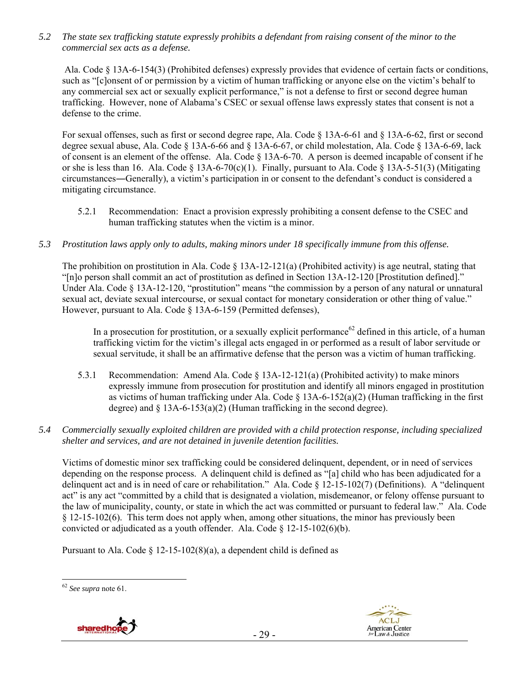*5.2 The state sex trafficking statute expressly prohibits a defendant from raising consent of the minor to the commercial sex acts as a defense.* 

 Ala. Code § 13A-6-154(3) (Prohibited defenses) expressly provides that evidence of certain facts or conditions, such as "[c]onsent of or permission by a victim of human trafficking or anyone else on the victim's behalf to any commercial sex act or sexually explicit performance," is not a defense to first or second degree human trafficking. However, none of Alabama's CSEC or sexual offense laws expressly states that consent is not a defense to the crime.

For sexual offenses, such as first or second degree rape, Ala. Code § 13A-6-61 and § 13A-6-62, first or second degree sexual abuse, Ala. Code § 13A-6-66 and § 13A-6-67, or child molestation, Ala. Code § 13A-6-69, lack of consent is an element of the offense. Ala. Code § 13A-6-70. A person is deemed incapable of consent if he or she is less than 16. Ala. Code § 13A-6-70(c)(1). Finally, pursuant to Ala. Code § 13A-5-51(3) (Mitigating circumstances―Generally), a victim's participation in or consent to the defendant's conduct is considered a mitigating circumstance.

- 5.2.1 Recommendation: Enact a provision expressly prohibiting a consent defense to the CSEC and human trafficking statutes when the victim is a minor.
- *5.3 Prostitution laws apply only to adults, making minors under 18 specifically immune from this offense.*

The prohibition on prostitution in Ala. Code § 13A-12-121(a) (Prohibited activity) is age neutral, stating that "[n]o person shall commit an act of prostitution as defined in Section 13A-12-120 [Prostitution defined]." Under Ala. Code § 13A-12-120, "prostitution" means "the commission by a person of any natural or unnatural sexual act, deviate sexual intercourse, or sexual contact for monetary consideration or other thing of value." However, pursuant to Ala. Code § 13A-6-159 (Permitted defenses),

In a prosecution for prostitution, or a sexually explicit performance<sup>62</sup> defined in this article, of a human trafficking victim for the victim's illegal acts engaged in or performed as a result of labor servitude or sexual servitude, it shall be an affirmative defense that the person was a victim of human trafficking.

- 5.3.1 Recommendation: Amend Ala. Code § 13A-12-121(a) (Prohibited activity) to make minors expressly immune from prosecution for prostitution and identify all minors engaged in prostitution as victims of human trafficking under Ala. Code  $\S$  13A-6-152(a)(2) (Human trafficking in the first degree) and  $\S$  13A-6-153(a)(2) (Human trafficking in the second degree).
- *5.4 Commercially sexually exploited children are provided with a child protection response, including specialized shelter and services, and are not detained in juvenile detention facilities.*

Victims of domestic minor sex trafficking could be considered delinquent, dependent, or in need of services depending on the response process. A delinquent child is defined as "[a] child who has been adjudicated for a delinquent act and is in need of care or rehabilitation." Ala. Code § 12-15-102(7) (Definitions). A "delinquent act" is any act "committed by a child that is designated a violation, misdemeanor, or felony offense pursuant to the law of municipality, county, or state in which the act was committed or pursuant to federal law." Ala. Code § 12-15-102(6). This term does not apply when, among other situations, the minor has previously been convicted or adjudicated as a youth offender. Ala. Code § 12-15-102(6)(b).

Pursuant to Ala. Code  $\S$  12-15-102(8)(a), a dependent child is defined as

 $\overline{a}$ 





<sup>62</sup> *See supra* note 61.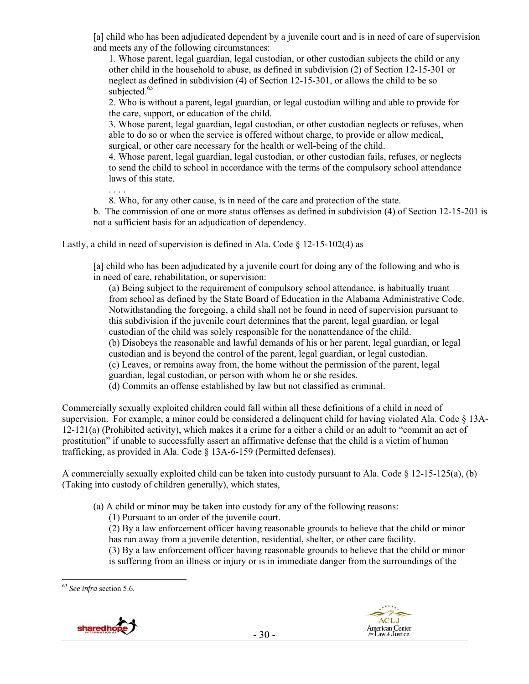[a] child who has been adjudicated dependent by a juvenile court and is in need of care of supervision and meets any of the following circumstances:

1. Whose parent, legal guardian, legal custodian, or other custodian subjects the child or any other child in the household to abuse, as defined in subdivision (2) of Section 12-15-301 or neglect as defined in subdivision (4) of Section 12-15-301, or allows the child to be so subjected.<sup>63</sup>

2. Who is without a parent, legal guardian, or legal custodian willing and able to provide for the care, support, or education of the child.

3. Whose parent, legal guardian, legal custodian, or other custodian neglects or refuses, when able to do so or when the service is offered without charge, to provide or allow medical, surgical, or other care necessary for the health or well-being of the child.

4. Whose parent, legal guardian, legal custodian, or other custodian fails, refuses, or neglects to send the child to school in accordance with the terms of the compulsory school attendance laws of this state.

. . . . 8. Who, for any other cause, is in need of the care and protection of the state. b. The commission of one or more status offenses as defined in subdivision (4) of Section 12-15-201 is not a sufficient basis for an adjudication of dependency.

Lastly, a child in need of supervision is defined in Ala. Code  $\S$  12-15-102(4) as

[a] child who has been adjudicated by a juvenile court for doing any of the following and who is in need of care, rehabilitation, or supervision:

(a) Being subject to the requirement of compulsory school attendance, is habitually truant from school as defined by the State Board of Education in the Alabama Administrative Code. Notwithstanding the foregoing, a child shall not be found in need of supervision pursuant to this subdivision if the juvenile court determines that the parent, legal guardian, or legal custodian of the child was solely responsible for the nonattendance of the child. (b) Disobeys the reasonable and lawful demands of his or her parent, legal guardian, or legal custodian and is beyond the control of the parent, legal guardian, or legal custodian. (c) Leaves, or remains away from, the home without the permission of the parent, legal guardian, legal custodian, or person with whom he or she resides.

(d) Commits an offense established by law but not classified as criminal.

Commercially sexually exploited children could fall within all these definitions of a child in need of supervision. For example, a minor could be considered a delinquent child for having violated Ala. Code § 13A-12-121(a) (Prohibited activity), which makes it a crime for a either a child or an adult to "commit an act of prostitution" if unable to successfully assert an affirmative defense that the child is a victim of human trafficking, as provided in Ala. Code § 13A-6-159 (Permitted defenses).

A commercially sexually exploited child can be taken into custody pursuant to Ala. Code  $\S$  12-15-125(a), (b) (Taking into custody of children generally), which states,

- (a) A child or minor may be taken into custody for any of the following reasons:
	- (1) Pursuant to an order of the juvenile court.

(2) By a law enforcement officer having reasonable grounds to believe that the child or minor has run away from a juvenile detention, residential, shelter, or other care facility.

(3) By a law enforcement officer having reasonable grounds to believe that the child or minor is suffering from an illness or injury or is in immediate danger from the surroundings of the

 $\overline{a}$ <sup>63</sup> *See infra* section 5.6.

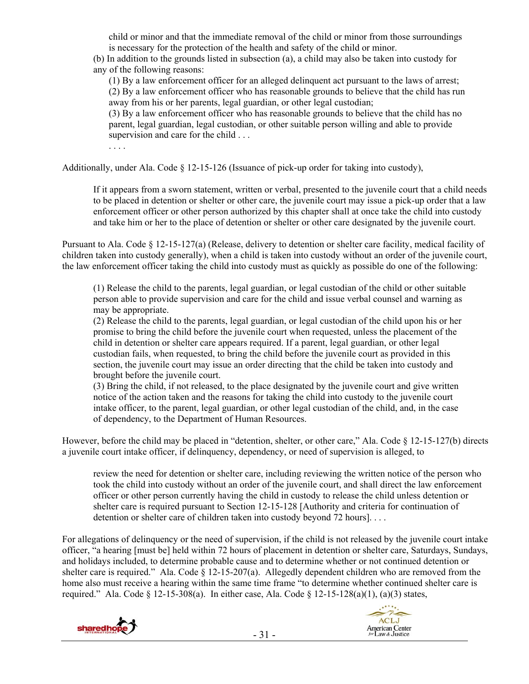child or minor and that the immediate removal of the child or minor from those surroundings is necessary for the protection of the health and safety of the child or minor.

(b) In addition to the grounds listed in subsection (a), a child may also be taken into custody for any of the following reasons:

(1) By a law enforcement officer for an alleged delinquent act pursuant to the laws of arrest; (2) By a law enforcement officer who has reasonable grounds to believe that the child has run away from his or her parents, legal guardian, or other legal custodian;

(3) By a law enforcement officer who has reasonable grounds to believe that the child has no parent, legal guardian, legal custodian, or other suitable person willing and able to provide supervision and care for the child . . .

. . . .

Additionally, under Ala. Code  $\S$  12-15-126 (Issuance of pick-up order for taking into custody),

If it appears from a sworn statement, written or verbal, presented to the juvenile court that a child needs to be placed in detention or shelter or other care, the juvenile court may issue a pick-up order that a law enforcement officer or other person authorized by this chapter shall at once take the child into custody and take him or her to the place of detention or shelter or other care designated by the juvenile court.

Pursuant to Ala. Code § 12-15-127(a) (Release, delivery to detention or shelter care facility, medical facility of children taken into custody generally), when a child is taken into custody without an order of the juvenile court, the law enforcement officer taking the child into custody must as quickly as possible do one of the following:

(1) Release the child to the parents, legal guardian, or legal custodian of the child or other suitable person able to provide supervision and care for the child and issue verbal counsel and warning as may be appropriate.

(2) Release the child to the parents, legal guardian, or legal custodian of the child upon his or her promise to bring the child before the juvenile court when requested, unless the placement of the child in detention or shelter care appears required. If a parent, legal guardian, or other legal custodian fails, when requested, to bring the child before the juvenile court as provided in this section, the juvenile court may issue an order directing that the child be taken into custody and brought before the juvenile court.

(3) Bring the child, if not released, to the place designated by the juvenile court and give written notice of the action taken and the reasons for taking the child into custody to the juvenile court intake officer, to the parent, legal guardian, or other legal custodian of the child, and, in the case of dependency, to the Department of Human Resources.

However, before the child may be placed in "detention, shelter, or other care," Ala. Code § 12-15-127(b) directs a juvenile court intake officer, if delinquency, dependency, or need of supervision is alleged, to

review the need for detention or shelter care, including reviewing the written notice of the person who took the child into custody without an order of the juvenile court, and shall direct the law enforcement officer or other person currently having the child in custody to release the child unless detention or shelter care is required pursuant to Section 12-15-128 [Authority and criteria for continuation of detention or shelter care of children taken into custody beyond 72 hours]. . . .

For allegations of delinquency or the need of supervision, if the child is not released by the juvenile court intake officer, "a hearing [must be] held within 72 hours of placement in detention or shelter care, Saturdays, Sundays, and holidays included, to determine probable cause and to determine whether or not continued detention or shelter care is required." Ala. Code  $\S$  12-15-207(a). Allegedly dependent children who are removed from the home also must receive a hearing within the same time frame "to determine whether continued shelter care is required." Ala. Code § 12-15-308(a). In either case, Ala. Code § 12-15-128(a)(1), (a)(3) states,



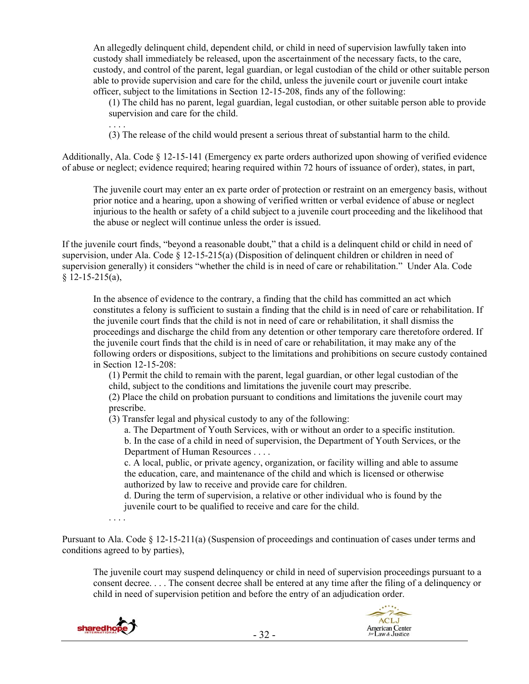An allegedly delinquent child, dependent child, or child in need of supervision lawfully taken into custody shall immediately be released, upon the ascertainment of the necessary facts, to the care, custody, and control of the parent, legal guardian, or legal custodian of the child or other suitable person able to provide supervision and care for the child, unless the juvenile court or juvenile court intake officer, subject to the limitations in Section 12-15-208, finds any of the following:

(1) The child has no parent, legal guardian, legal custodian, or other suitable person able to provide supervision and care for the child.

(3) The release of the child would present a serious threat of substantial harm to the child.

Additionally, Ala. Code § 12-15-141 (Emergency ex parte orders authorized upon showing of verified evidence of abuse or neglect; evidence required; hearing required within 72 hours of issuance of order), states, in part,

The juvenile court may enter an ex parte order of protection or restraint on an emergency basis, without prior notice and a hearing, upon a showing of verified written or verbal evidence of abuse or neglect injurious to the health or safety of a child subject to a juvenile court proceeding and the likelihood that the abuse or neglect will continue unless the order is issued.

If the juvenile court finds, "beyond a reasonable doubt," that a child is a delinquent child or child in need of supervision, under Ala. Code § 12-15-215(a) (Disposition of delinquent children or children in need of supervision generally) it considers "whether the child is in need of care or rehabilitation." Under Ala. Code  $§$  12-15-215(a),

In the absence of evidence to the contrary, a finding that the child has committed an act which constitutes a felony is sufficient to sustain a finding that the child is in need of care or rehabilitation. If the juvenile court finds that the child is not in need of care or rehabilitation, it shall dismiss the proceedings and discharge the child from any detention or other temporary care theretofore ordered. If the juvenile court finds that the child is in need of care or rehabilitation, it may make any of the following orders or dispositions, subject to the limitations and prohibitions on secure custody contained in Section 12-15-208:

(1) Permit the child to remain with the parent, legal guardian, or other legal custodian of the child, subject to the conditions and limitations the juvenile court may prescribe.

(2) Place the child on probation pursuant to conditions and limitations the juvenile court may prescribe.

(3) Transfer legal and physical custody to any of the following:

a. The Department of Youth Services, with or without an order to a specific institution.

b. In the case of a child in need of supervision, the Department of Youth Services, or the Department of Human Resources . . . .

c. A local, public, or private agency, organization, or facility willing and able to assume the education, care, and maintenance of the child and which is licensed or otherwise authorized by law to receive and provide care for children.

d. During the term of supervision, a relative or other individual who is found by the juvenile court to be qualified to receive and care for the child.

Pursuant to Ala. Code § 12-15-211(a) (Suspension of proceedings and continuation of cases under terms and conditions agreed to by parties),

The juvenile court may suspend delinquency or child in need of supervision proceedings pursuant to a consent decree. . . . The consent decree shall be entered at any time after the filing of a delinquency or child in need of supervision petition and before the entry of an adjudication order.



. . . .

. . . .

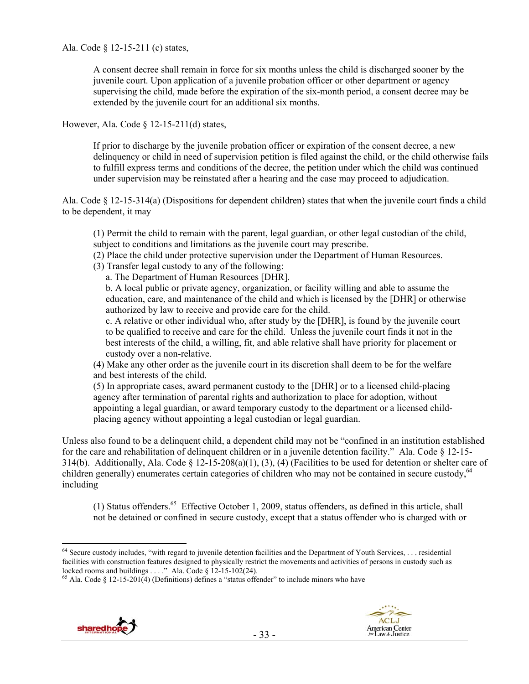Ala. Code § 12-15-211 (c) states,

A consent decree shall remain in force for six months unless the child is discharged sooner by the juvenile court. Upon application of a juvenile probation officer or other department or agency supervising the child, made before the expiration of the six-month period, a consent decree may be extended by the juvenile court for an additional six months.

However, Ala. Code § 12-15-211(d) states,

If prior to discharge by the juvenile probation officer or expiration of the consent decree, a new delinquency or child in need of supervision petition is filed against the child, or the child otherwise fails to fulfill express terms and conditions of the decree, the petition under which the child was continued under supervision may be reinstated after a hearing and the case may proceed to adjudication.

Ala. Code § 12-15-314(a) (Dispositions for dependent children) states that when the juvenile court finds a child to be dependent, it may

(1) Permit the child to remain with the parent, legal guardian, or other legal custodian of the child, subject to conditions and limitations as the juvenile court may prescribe.

- (2) Place the child under protective supervision under the Department of Human Resources.
- (3) Transfer legal custody to any of the following:

a. The Department of Human Resources [DHR].

b. A local public or private agency, organization, or facility willing and able to assume the education, care, and maintenance of the child and which is licensed by the [DHR] or otherwise authorized by law to receive and provide care for the child.

c. A relative or other individual who, after study by the [DHR], is found by the juvenile court to be qualified to receive and care for the child. Unless the juvenile court finds it not in the best interests of the child, a willing, fit, and able relative shall have priority for placement or custody over a non-relative.

(4) Make any other order as the juvenile court in its discretion shall deem to be for the welfare and best interests of the child.

(5) In appropriate cases, award permanent custody to the [DHR] or to a licensed child-placing agency after termination of parental rights and authorization to place for adoption, without appointing a legal guardian, or award temporary custody to the department or a licensed childplacing agency without appointing a legal custodian or legal guardian.

Unless also found to be a delinquent child, a dependent child may not be "confined in an institution established for the care and rehabilitation of delinquent children or in a juvenile detention facility." Ala. Code § 12-15- 314(b). Additionally, Ala. Code § 12-15-208(a)(1), (3), (4) (Facilities to be used for detention or shelter care of children generally) enumerates certain categories of children who may not be contained in secure custody,<sup>64</sup> including

(1) Status offenders.65 Effective October 1, 2009, status offenders, as defined in this article, shall not be detained or confined in secure custody, except that a status offender who is charged with or

 $\frac{5}{6}$  Ala. Code § 12-15-201(4) (Definitions) defines a "status offender" to include minors who have





 $\overline{a}$  $64$  Secure custody includes, "with regard to juvenile detention facilities and the Department of Youth Services, ... residential facilities with construction features designed to physically restrict the movements and activities of persons in custody such as locked rooms and buildings . . . ." Ala. Code § 12-15-102(24).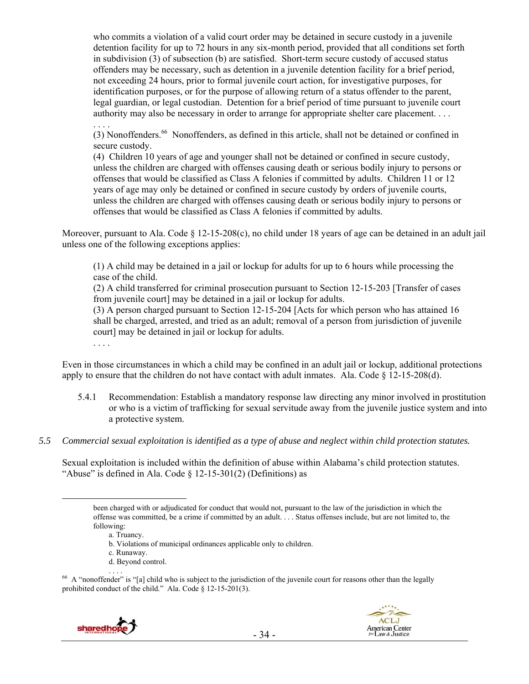who commits a violation of a valid court order may be detained in secure custody in a juvenile detention facility for up to 72 hours in any six-month period, provided that all conditions set forth in subdivision (3) of subsection (b) are satisfied. Short-term secure custody of accused status offenders may be necessary, such as detention in a juvenile detention facility for a brief period, not exceeding 24 hours, prior to formal juvenile court action, for investigative purposes, for identification purposes, or for the purpose of allowing return of a status offender to the parent, legal guardian, or legal custodian. Detention for a brief period of time pursuant to juvenile court authority may also be necessary in order to arrange for appropriate shelter care placement. . . .

(3) Nonoffenders.66 Nonoffenders, as defined in this article, shall not be detained or confined in secure custody.

(4) Children 10 years of age and younger shall not be detained or confined in secure custody, unless the children are charged with offenses causing death or serious bodily injury to persons or offenses that would be classified as Class A felonies if committed by adults. Children 11 or 12 years of age may only be detained or confined in secure custody by orders of juvenile courts, unless the children are charged with offenses causing death or serious bodily injury to persons or offenses that would be classified as Class A felonies if committed by adults.

Moreover, pursuant to Ala. Code  $\S 12{\text -}15{\text -}208(c)$ , no child under 18 years of age can be detained in an adult jail unless one of the following exceptions applies:

(1) A child may be detained in a jail or lockup for adults for up to 6 hours while processing the case of the child.

(2) A child transferred for criminal prosecution pursuant to Section 12-15-203 [Transfer of cases from juvenile court] may be detained in a jail or lockup for adults.

(3) A person charged pursuant to Section 12-15-204 [Acts for which person who has attained 16 shall be charged, arrested, and tried as an adult; removal of a person from jurisdiction of juvenile court] may be detained in jail or lockup for adults.

. . . .

. . . .

Even in those circumstances in which a child may be confined in an adult jail or lockup, additional protections apply to ensure that the children do not have contact with adult inmates. Ala. Code  $\S$  12-15-208(d).

- 5.4.1 Recommendation: Establish a mandatory response law directing any minor involved in prostitution or who is a victim of trafficking for sexual servitude away from the juvenile justice system and into a protective system.
- *5.5 Commercial sexual exploitation is identified as a type of abuse and neglect within child protection statutes.*

Sexual exploitation is included within the definition of abuse within Alabama's child protection statutes. "Abuse" is defined in Ala. Code  $\S$  12-15-301(2) (Definitions) as

<sup>&</sup>lt;sup>66</sup> A "nonoffender" is "[a] child who is subject to the jurisdiction of the juvenile court for reasons other than the legally prohibited conduct of the child." Ala. Code § 12-15-201(3).





been charged with or adjudicated for conduct that would not, pursuant to the law of the jurisdiction in which the offense was committed, be a crime if committed by an adult. . . . Status offenses include, but are not limited to, the following:

a. Truancy.

b. Violations of municipal ordinances applicable only to children.

c. Runaway.

d. Beyond control.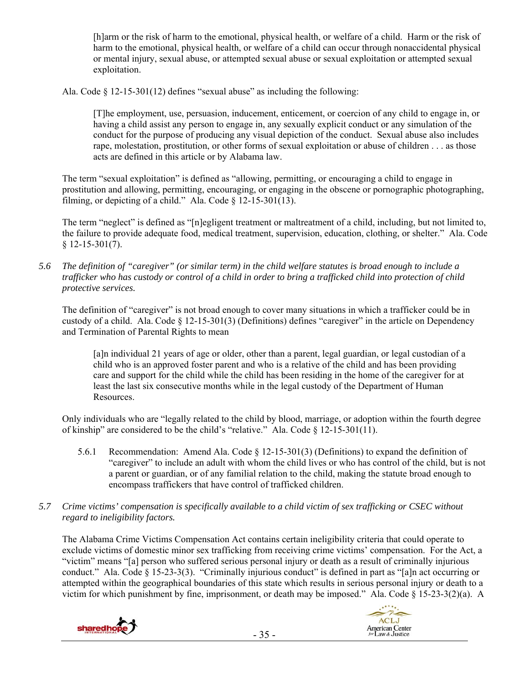[h]arm or the risk of harm to the emotional, physical health, or welfare of a child. Harm or the risk of harm to the emotional, physical health, or welfare of a child can occur through nonaccidental physical or mental injury, sexual abuse, or attempted sexual abuse or sexual exploitation or attempted sexual exploitation.

Ala. Code  $\S$  12-15-301(12) defines "sexual abuse" as including the following:

[T]he employment, use, persuasion, inducement, enticement, or coercion of any child to engage in, or having a child assist any person to engage in, any sexually explicit conduct or any simulation of the conduct for the purpose of producing any visual depiction of the conduct. Sexual abuse also includes rape, molestation, prostitution, or other forms of sexual exploitation or abuse of children . . . as those acts are defined in this article or by Alabama law.

The term "sexual exploitation" is defined as "allowing, permitting, or encouraging a child to engage in prostitution and allowing, permitting, encouraging, or engaging in the obscene or pornographic photographing, filming, or depicting of a child." Ala. Code  $\S$  12-15-301(13).

The term "neglect" is defined as "[n]egligent treatment or maltreatment of a child, including, but not limited to, the failure to provide adequate food, medical treatment, supervision, education, clothing, or shelter." Ala. Code  $§$  12-15-301(7).

*5.6 The definition of "caregiver" (or similar term) in the child welfare statutes is broad enough to include a trafficker who has custody or control of a child in order to bring a trafficked child into protection of child protective services.* 

The definition of "caregiver" is not broad enough to cover many situations in which a trafficker could be in custody of a child. Ala. Code  $\S$  12-15-301(3) (Definitions) defines "caregiver" in the article on Dependency and Termination of Parental Rights to mean

[a]n individual 21 years of age or older, other than a parent, legal guardian, or legal custodian of a child who is an approved foster parent and who is a relative of the child and has been providing care and support for the child while the child has been residing in the home of the caregiver for at least the last six consecutive months while in the legal custody of the Department of Human Resources.

Only individuals who are "legally related to the child by blood, marriage, or adoption within the fourth degree of kinship" are considered to be the child's "relative." Ala. Code § 12-15-301(11).

- 5.6.1 Recommendation: Amend Ala. Code § 12-15-301(3) (Definitions) to expand the definition of "caregiver" to include an adult with whom the child lives or who has control of the child, but is not a parent or guardian, or of any familial relation to the child, making the statute broad enough to encompass traffickers that have control of trafficked children.
- *5.7 Crime victims' compensation is specifically available to a child victim of sex trafficking or CSEC without regard to ineligibility factors.*

The Alabama Crime Victims Compensation Act contains certain ineligibility criteria that could operate to exclude victims of domestic minor sex trafficking from receiving crime victims' compensation. For the Act, a "victim" means "[a] person who suffered serious personal injury or death as a result of criminally injurious conduct." Ala. Code § 15-23-3(3). "Criminally injurious conduct" is defined in part as "[a]n act occurring or attempted within the geographical boundaries of this state which results in serious personal injury or death to a victim for which punishment by fine, imprisonment, or death may be imposed." Ala. Code § 15-23-3(2)(a). A

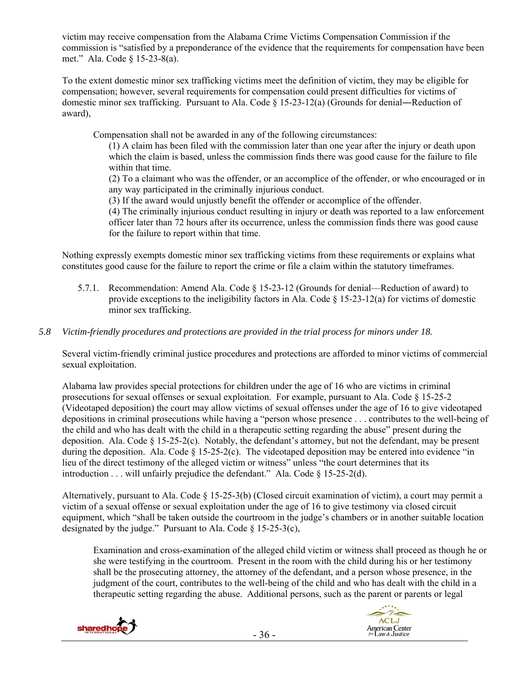victim may receive compensation from the Alabama Crime Victims Compensation Commission if the commission is "satisfied by a preponderance of the evidence that the requirements for compensation have been met." Ala. Code § 15-23-8(a).

To the extent domestic minor sex trafficking victims meet the definition of victim, they may be eligible for compensation; however, several requirements for compensation could present difficulties for victims of domestic minor sex trafficking. Pursuant to Ala. Code § 15-23-12(a) (Grounds for denial―Reduction of award),

Compensation shall not be awarded in any of the following circumstances:

(1) A claim has been filed with the commission later than one year after the injury or death upon which the claim is based, unless the commission finds there was good cause for the failure to file within that time.

(2) To a claimant who was the offender, or an accomplice of the offender, or who encouraged or in any way participated in the criminally injurious conduct.

(3) If the award would unjustly benefit the offender or accomplice of the offender.

(4) The criminally injurious conduct resulting in injury or death was reported to a law enforcement officer later than 72 hours after its occurrence, unless the commission finds there was good cause for the failure to report within that time.

Nothing expressly exempts domestic minor sex trafficking victims from these requirements or explains what constitutes good cause for the failure to report the crime or file a claim within the statutory timeframes.

5.7.1. Recommendation: Amend Ala. Code § 15-23-12 (Grounds for denial—Reduction of award) to provide exceptions to the ineligibility factors in Ala. Code  $\S$  15-23-12(a) for victims of domestic minor sex trafficking.

## *5.8 Victim-friendly procedures and protections are provided in the trial process for minors under 18.*

Several victim-friendly criminal justice procedures and protections are afforded to minor victims of commercial sexual exploitation.

Alabama law provides special protections for children under the age of 16 who are victims in criminal prosecutions for sexual offenses or sexual exploitation. For example, pursuant to Ala. Code § 15-25-2 (Videotaped deposition) the court may allow victims of sexual offenses under the age of 16 to give videotaped depositions in criminal prosecutions while having a "person whose presence . . . contributes to the well-being of the child and who has dealt with the child in a therapeutic setting regarding the abuse" present during the deposition. Ala. Code  $\S$  15-25-2(c). Notably, the defendant's attorney, but not the defendant, may be present during the deposition. Ala. Code § 15-25-2(c). The videotaped deposition may be entered into evidence "in lieu of the direct testimony of the alleged victim or witness" unless "the court determines that its introduction . . . will unfairly prejudice the defendant." Ala. Code § 15-25-2(d).

Alternatively, pursuant to Ala. Code § 15-25-3(b) (Closed circuit examination of victim), a court may permit a victim of a sexual offense or sexual exploitation under the age of 16 to give testimony via closed circuit equipment, which "shall be taken outside the courtroom in the judge's chambers or in another suitable location designated by the judge." Pursuant to Ala. Code § 15-25-3(c),

Examination and cross-examination of the alleged child victim or witness shall proceed as though he or she were testifying in the courtroom. Present in the room with the child during his or her testimony shall be the prosecuting attorney, the attorney of the defendant, and a person whose presence, in the judgment of the court, contributes to the well-being of the child and who has dealt with the child in a therapeutic setting regarding the abuse. Additional persons, such as the parent or parents or legal



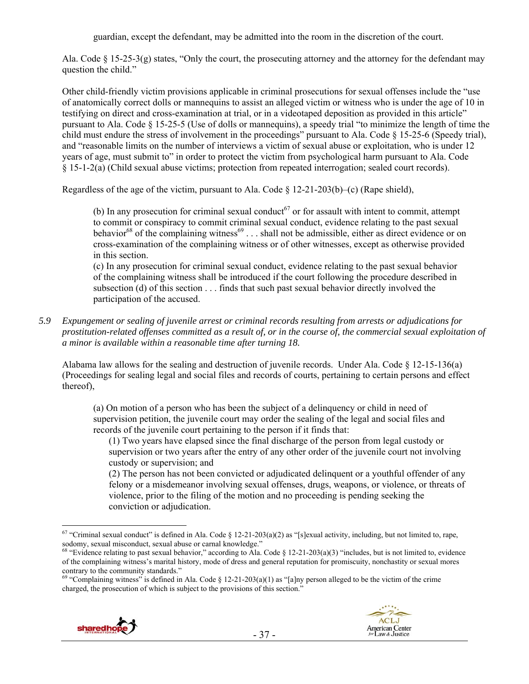guardian, except the defendant, may be admitted into the room in the discretion of the court.

Ala. Code § 15-25-3(g) states, "Only the court, the prosecuting attorney and the attorney for the defendant may question the child."

Other child-friendly victim provisions applicable in criminal prosecutions for sexual offenses include the "use of anatomically correct dolls or mannequins to assist an alleged victim or witness who is under the age of 10 in testifying on direct and cross-examination at trial, or in a videotaped deposition as provided in this article" pursuant to Ala. Code § 15-25-5 (Use of dolls or mannequins), a speedy trial "to minimize the length of time the child must endure the stress of involvement in the proceedings" pursuant to Ala. Code § 15-25-6 (Speedy trial), and "reasonable limits on the number of interviews a victim of sexual abuse or exploitation, who is under 12 years of age, must submit to" in order to protect the victim from psychological harm pursuant to Ala. Code § 15-1-2(a) (Child sexual abuse victims; protection from repeated interrogation; sealed court records).

Regardless of the age of the victim, pursuant to Ala. Code § 12-21-203(b)–(c) (Rape shield),

(b) In any prosecution for criminal sexual conduct<sup>67</sup> or for assault with intent to commit, attempt to commit or conspiracy to commit criminal sexual conduct, evidence relating to the past sexual behavior<sup>68</sup> of the complaining witness<sup>69</sup> . . . shall not be admissible, either as direct evidence or on cross-examination of the complaining witness or of other witnesses, except as otherwise provided in this section.

(c) In any prosecution for criminal sexual conduct, evidence relating to the past sexual behavior of the complaining witness shall be introduced if the court following the procedure described in subsection (d) of this section . . . finds that such past sexual behavior directly involved the participation of the accused.

*5.9 Expungement or sealing of juvenile arrest or criminal records resulting from arrests or adjudications for prostitution-related offenses committed as a result of, or in the course of, the commercial sexual exploitation of a minor is available within a reasonable time after turning 18.* 

Alabama law allows for the sealing and destruction of juvenile records. Under Ala. Code § 12-15-136(a) (Proceedings for sealing legal and social files and records of courts, pertaining to certain persons and effect thereof),

(a) On motion of a person who has been the subject of a delinquency or child in need of supervision petition, the juvenile court may order the sealing of the legal and social files and records of the juvenile court pertaining to the person if it finds that:

(1) Two years have elapsed since the final discharge of the person from legal custody or supervision or two years after the entry of any other order of the juvenile court not involving custody or supervision; and

(2) The person has not been convicted or adjudicated delinquent or a youthful offender of any felony or a misdemeanor involving sexual offenses, drugs, weapons, or violence, or threats of violence, prior to the filing of the motion and no proceeding is pending seeking the conviction or adjudication.

<sup>&</sup>lt;sup>69</sup> "Complaining witness" is defined in Ala. Code § 12-21-203(a)(1) as "[a]ny person alleged to be the victim of the crime charged, the prosecution of which is subject to the provisions of this section."





 $\overline{a}$ <sup>67</sup> "Criminal sexual conduct" is defined in Ala. Code § 12-21-203(a)(2) as "[s]exual activity, including, but not limited to, rape, sodomy, sexual misconduct, sexual abuse or carnal knowledge."<br><sup>68</sup> "Evidence relating to past sexual behavior," according to Ala. Code § 12-21-203(a)(3) "includes, but is not limited to, evidence

of the complaining witness's marital history, mode of dress and general reputation for promiscuity, nonchastity or sexual mores contrary to the community standards."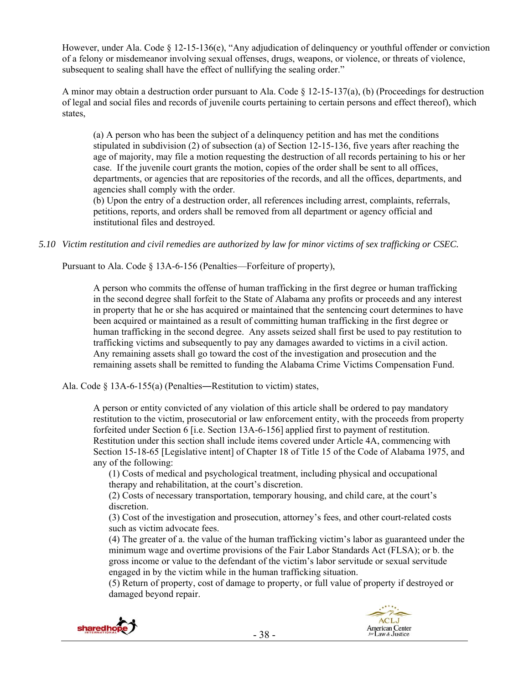However, under Ala. Code § 12-15-136(e), "Any adjudication of delinquency or youthful offender or conviction of a felony or misdemeanor involving sexual offenses, drugs, weapons, or violence, or threats of violence, subsequent to sealing shall have the effect of nullifying the sealing order."

A minor may obtain a destruction order pursuant to Ala. Code  $\S$  12-15-137(a), (b) (Proceedings for destruction of legal and social files and records of juvenile courts pertaining to certain persons and effect thereof), which states,

(a) A person who has been the subject of a delinquency petition and has met the conditions stipulated in subdivision (2) of subsection (a) of Section 12-15-136, five years after reaching the age of majority, may file a motion requesting the destruction of all records pertaining to his or her case. If the juvenile court grants the motion, copies of the order shall be sent to all offices, departments, or agencies that are repositories of the records, and all the offices, departments, and agencies shall comply with the order.

(b) Upon the entry of a destruction order, all references including arrest, complaints, referrals, petitions, reports, and orders shall be removed from all department or agency official and institutional files and destroyed.

*5.10 Victim restitution and civil remedies are authorized by law for minor victims of sex trafficking or CSEC.* 

Pursuant to Ala. Code § 13A-6-156 (Penalties—Forfeiture of property),

A person who commits the offense of human trafficking in the first degree or human trafficking in the second degree shall forfeit to the State of Alabama any profits or proceeds and any interest in property that he or she has acquired or maintained that the sentencing court determines to have been acquired or maintained as a result of committing human trafficking in the first degree or human trafficking in the second degree. Any assets seized shall first be used to pay restitution to trafficking victims and subsequently to pay any damages awarded to victims in a civil action. Any remaining assets shall go toward the cost of the investigation and prosecution and the remaining assets shall be remitted to funding the Alabama Crime Victims Compensation Fund.

Ala. Code § 13A-6-155(a) (Penalties―Restitution to victim) states,

A person or entity convicted of any violation of this article shall be ordered to pay mandatory restitution to the victim, prosecutorial or law enforcement entity, with the proceeds from property forfeited under Section 6 [i.e. Section 13A-6-156] applied first to payment of restitution. Restitution under this section shall include items covered under Article 4A, commencing with Section 15-18-65 [Legislative intent] of Chapter 18 of Title 15 of the Code of Alabama 1975, and any of the following:

(1) Costs of medical and psychological treatment, including physical and occupational therapy and rehabilitation, at the court's discretion.

(2) Costs of necessary transportation, temporary housing, and child care, at the court's discretion.

(3) Cost of the investigation and prosecution, attorney's fees, and other court-related costs such as victim advocate fees.

(4) The greater of a. the value of the human trafficking victim's labor as guaranteed under the minimum wage and overtime provisions of the Fair Labor Standards Act (FLSA); or b. the gross income or value to the defendant of the victim's labor servitude or sexual servitude engaged in by the victim while in the human trafficking situation.

(5) Return of property, cost of damage to property, or full value of property if destroyed or damaged beyond repair.



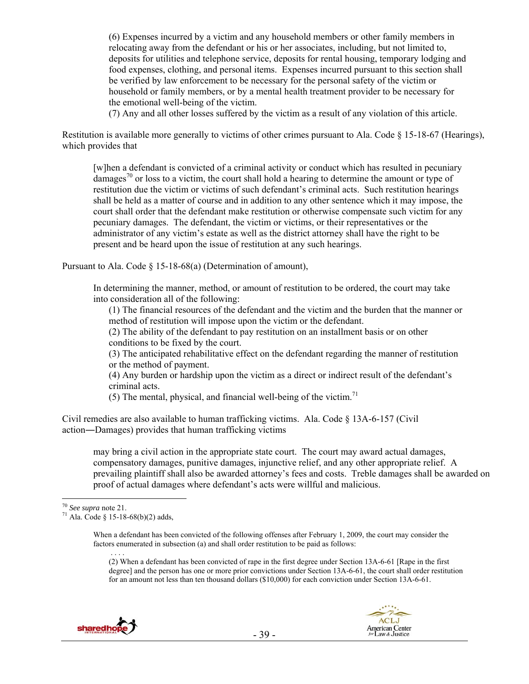(6) Expenses incurred by a victim and any household members or other family members in relocating away from the defendant or his or her associates, including, but not limited to, deposits for utilities and telephone service, deposits for rental housing, temporary lodging and food expenses, clothing, and personal items. Expenses incurred pursuant to this section shall be verified by law enforcement to be necessary for the personal safety of the victim or household or family members, or by a mental health treatment provider to be necessary for the emotional well-being of the victim.

(7) Any and all other losses suffered by the victim as a result of any violation of this article.

Restitution is available more generally to victims of other crimes pursuant to Ala. Code § 15-18-67 (Hearings), which provides that

[w]hen a defendant is convicted of a criminal activity or conduct which has resulted in pecuniary damages<sup>70</sup> or loss to a victim, the court shall hold a hearing to determine the amount or type of restitution due the victim or victims of such defendant's criminal acts. Such restitution hearings shall be held as a matter of course and in addition to any other sentence which it may impose, the court shall order that the defendant make restitution or otherwise compensate such victim for any pecuniary damages. The defendant, the victim or victims, or their representatives or the administrator of any victim's estate as well as the district attorney shall have the right to be present and be heard upon the issue of restitution at any such hearings.

Pursuant to Ala. Code § 15-18-68(a) (Determination of amount),

In determining the manner, method, or amount of restitution to be ordered, the court may take into consideration all of the following:

(1) The financial resources of the defendant and the victim and the burden that the manner or method of restitution will impose upon the victim or the defendant.

(2) The ability of the defendant to pay restitution on an installment basis or on other conditions to be fixed by the court.

(3) The anticipated rehabilitative effect on the defendant regarding the manner of restitution or the method of payment.

(4) Any burden or hardship upon the victim as a direct or indirect result of the defendant's criminal acts.

(5) The mental, physical, and financial well-being of the victim.<sup>71</sup>

Civil remedies are also available to human trafficking victims. Ala. Code  $\S$  13A-6-157 (Civil action―Damages) provides that human trafficking victims

may bring a civil action in the appropriate state court. The court may award actual damages, compensatory damages, punitive damages, injunctive relief, and any other appropriate relief. A prevailing plaintiff shall also be awarded attorney's fees and costs. Treble damages shall be awarded on proof of actual damages where defendant's acts were willful and malicious.

When a defendant has been convicted of the following offenses after February 1, 2009, the court may consider the factors enumerated in subsection (a) and shall order restitution to be paid as follows: . . . .

(2) When a defendant has been convicted of rape in the first degree under Section 13A-6-61 [Rape in the first degree] and the person has one or more prior convictions under Section 13A-6-61, the court shall order restitution for an amount not less than ten thousand dollars (\$10,000) for each conviction under Section 13A-6-61.



<sup>&</sup>lt;sup>70</sup> See supra note 21.

<sup>&</sup>lt;sup>71</sup> Ala. Code § 15-18-68(b)(2) adds,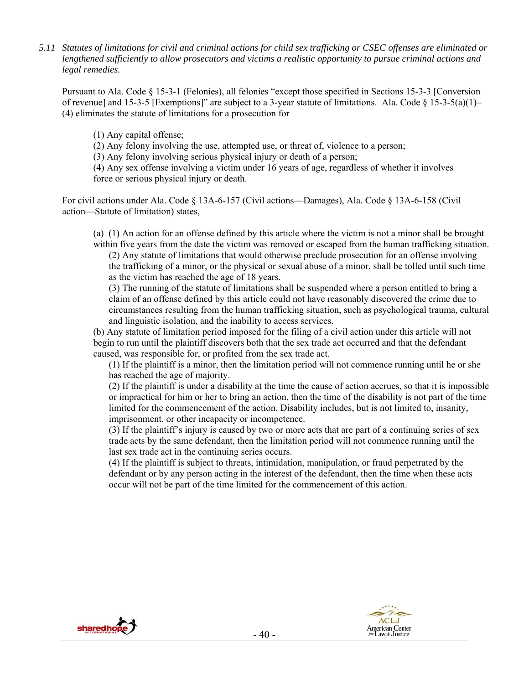*5.11 Statutes of limitations for civil and criminal actions for child sex trafficking or CSEC offenses are eliminated or lengthened sufficiently to allow prosecutors and victims a realistic opportunity to pursue criminal actions and legal remedies.* 

Pursuant to Ala. Code § 15-3-1 (Felonies), all felonies "except those specified in Sections 15-3-3 [Conversion of revenue] and 15-3-5 [Exemptions]" are subject to a 3-year statute of limitations. Ala. Code  $\S$  15-3-5(a)(1)– (4) eliminates the statute of limitations for a prosecution for

(1) Any capital offense;

(2) Any felony involving the use, attempted use, or threat of, violence to a person;

(3) Any felony involving serious physical injury or death of a person;

(4) Any sex offense involving a victim under 16 years of age, regardless of whether it involves force or serious physical injury or death.

For civil actions under Ala. Code § 13A-6-157 (Civil actions—Damages), Ala. Code § 13A-6-158 (Civil action—Statute of limitation) states,

(a) (1) An action for an offense defined by this article where the victim is not a minor shall be brought within five years from the date the victim was removed or escaped from the human trafficking situation.

 (2) Any statute of limitations that would otherwise preclude prosecution for an offense involving the trafficking of a minor, or the physical or sexual abuse of a minor, shall be tolled until such time as the victim has reached the age of 18 years.

 (3) The running of the statute of limitations shall be suspended where a person entitled to bring a claim of an offense defined by this article could not have reasonably discovered the crime due to circumstances resulting from the human trafficking situation, such as psychological trauma, cultural and linguistic isolation, and the inability to access services.

(b) Any statute of limitation period imposed for the filing of a civil action under this article will not begin to run until the plaintiff discovers both that the sex trade act occurred and that the defendant caused, was responsible for, or profited from the sex trade act.

 (1) If the plaintiff is a minor, then the limitation period will not commence running until he or she has reached the age of majority.

 (2) If the plaintiff is under a disability at the time the cause of action accrues, so that it is impossible or impractical for him or her to bring an action, then the time of the disability is not part of the time limited for the commencement of the action. Disability includes, but is not limited to, insanity, imprisonment, or other incapacity or incompetence.

 (3) If the plaintiff's injury is caused by two or more acts that are part of a continuing series of sex trade acts by the same defendant, then the limitation period will not commence running until the last sex trade act in the continuing series occurs.

 (4) If the plaintiff is subject to threats, intimidation, manipulation, or fraud perpetrated by the defendant or by any person acting in the interest of the defendant, then the time when these acts occur will not be part of the time limited for the commencement of this action.



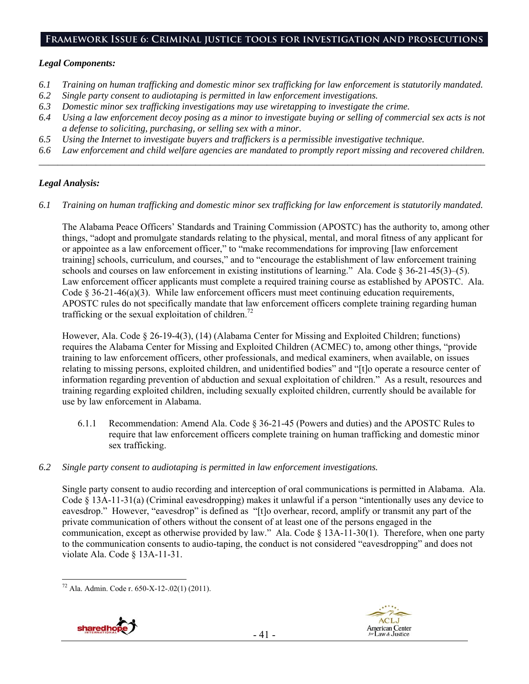## **Framework Issue 6: Criminal justice tools for investigation and prosecutions**

#### *Legal Components:*

- *6.1 Training on human trafficking and domestic minor sex trafficking for law enforcement is statutorily mandated.*
- *6.2 Single party consent to audiotaping is permitted in law enforcement investigations.*
- *6.3 Domestic minor sex trafficking investigations may use wiretapping to investigate the crime.*
- *6.4 Using a law enforcement decoy posing as a minor to investigate buying or selling of commercial sex acts is not a defense to soliciting, purchasing, or selling sex with a minor.*
- *6.5 Using the Internet to investigate buyers and traffickers is a permissible investigative technique.*
- *6.6 Law enforcement and child welfare agencies are mandated to promptly report missing and recovered children. \_\_\_\_\_\_\_\_\_\_\_\_\_\_\_\_\_\_\_\_\_\_\_\_\_\_\_\_\_\_\_\_\_\_\_\_\_\_\_\_\_\_\_\_\_\_\_\_\_\_\_\_\_\_\_\_\_\_\_\_\_\_\_\_\_\_\_\_\_\_\_\_\_\_\_\_\_\_\_\_\_\_\_\_\_\_\_\_\_\_\_\_\_\_*

## *Legal Analysis:*

*6.1 Training on human trafficking and domestic minor sex trafficking for law enforcement is statutorily mandated.* 

The Alabama Peace Officers' Standards and Training Commission (APOSTC) has the authority to, among other things, "adopt and promulgate standards relating to the physical, mental, and moral fitness of any applicant for or appointee as a law enforcement officer," to "make recommendations for improving [law enforcement training] schools, curriculum, and courses," and to "encourage the establishment of law enforcement training schools and courses on law enforcement in existing institutions of learning." Ala. Code § 36-21-45(3)–(5). Law enforcement officer applicants must complete a required training course as established by APOSTC. Ala. Code  $\S 36-21-46(a)(3)$ . While law enforcement officers must meet continuing education requirements, APOSTC rules do not specifically mandate that law enforcement officers complete training regarding human trafficking or the sexual exploitation of children.<sup>72</sup>

However, Ala. Code § 26-19-4(3), (14) (Alabama Center for Missing and Exploited Children; functions) requires the Alabama Center for Missing and Exploited Children (ACMEC) to, among other things, "provide training to law enforcement officers, other professionals, and medical examiners, when available, on issues relating to missing persons, exploited children, and unidentified bodies" and "[t]o operate a resource center of information regarding prevention of abduction and sexual exploitation of children." As a result, resources and training regarding exploited children, including sexually exploited children, currently should be available for use by law enforcement in Alabama.

- 6.1.1 Recommendation: Amend Ala. Code § 36-21-45 (Powers and duties) and the APOSTC Rules to require that law enforcement officers complete training on human trafficking and domestic minor sex trafficking.
- *6.2 Single party consent to audiotaping is permitted in law enforcement investigations.*

Single party consent to audio recording and interception of oral communications is permitted in Alabama. Ala. Code  $\S$  13A-11-31(a) (Criminal eavesdropping) makes it unlawful if a person "intentionally uses any device to eavesdrop." However, "eavesdrop" is defined as "[t]o overhear, record, amplify or transmit any part of the private communication of others without the consent of at least one of the persons engaged in the communication, except as otherwise provided by law." Ala. Code § 13A-11-30(1). Therefore, when one party to the communication consents to audio-taping, the conduct is not considered "eavesdropping" and does not violate Ala. Code § 13A-11-31.

 $\overline{a}$  $72$  Ala. Admin. Code r. 650-X-12-.02(1) (2011).



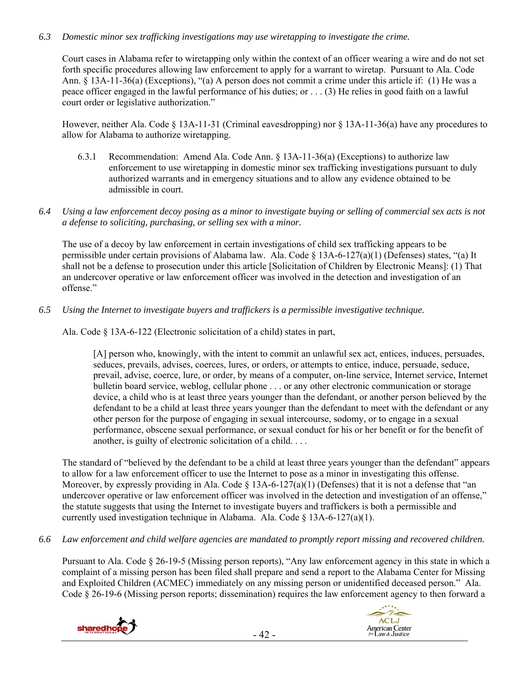## *6.3 Domestic minor sex trafficking investigations may use wiretapping to investigate the crime.*

Court cases in Alabama refer to wiretapping only within the context of an officer wearing a wire and do not set forth specific procedures allowing law enforcement to apply for a warrant to wiretap. Pursuant to Ala. Code Ann. § 13A-11-36(a) (Exceptions), "(a) A person does not commit a crime under this article if: (1) He was a peace officer engaged in the lawful performance of his duties; or . . . (3) He relies in good faith on a lawful court order or legislative authorization."

However, neither Ala. Code § 13A-11-31 (Criminal eavesdropping) nor § 13A-11-36(a) have any procedures to allow for Alabama to authorize wiretapping.

- 6.3.1 Recommendation: Amend Ala. Code Ann. § 13A-11-36(a) (Exceptions) to authorize law enforcement to use wiretapping in domestic minor sex trafficking investigations pursuant to duly authorized warrants and in emergency situations and to allow any evidence obtained to be admissible in court.
- *6.4 Using a law enforcement decoy posing as a minor to investigate buying or selling of commercial sex acts is not a defense to soliciting, purchasing, or selling sex with a minor.*

The use of a decoy by law enforcement in certain investigations of child sex trafficking appears to be permissible under certain provisions of Alabama law. Ala. Code § 13A-6-127(a)(1) (Defenses) states, "(a) It shall not be a defense to prosecution under this article [Solicitation of Children by Electronic Means]: (1) That an undercover operative or law enforcement officer was involved in the detection and investigation of an offense."

*6.5 Using the Internet to investigate buyers and traffickers is a permissible investigative technique.* 

Ala. Code § 13A-6-122 (Electronic solicitation of a child) states in part,

[A] person who, knowingly, with the intent to commit an unlawful sex act, entices, induces, persuades, seduces, prevails, advises, coerces, lures, or orders, or attempts to entice, induce, persuade, seduce, prevail, advise, coerce, lure, or order, by means of a computer, on-line service, Internet service, Internet bulletin board service, weblog, cellular phone . . . or any other electronic communication or storage device, a child who is at least three years younger than the defendant, or another person believed by the defendant to be a child at least three years younger than the defendant to meet with the defendant or any other person for the purpose of engaging in sexual intercourse, sodomy, or to engage in a sexual performance, obscene sexual performance, or sexual conduct for his or her benefit or for the benefit of another, is guilty of electronic solicitation of a child. . . .

The standard of "believed by the defendant to be a child at least three years younger than the defendant" appears to allow for a law enforcement officer to use the Internet to pose as a minor in investigating this offense. Moreover, by expressly providing in Ala. Code  $\S$  13A-6-127(a)(1) (Defenses) that it is not a defense that "an undercover operative or law enforcement officer was involved in the detection and investigation of an offense," the statute suggests that using the Internet to investigate buyers and traffickers is both a permissible and currently used investigation technique in Alabama. Ala. Code § 13A-6-127(a)(1).

*6.6 Law enforcement and child welfare agencies are mandated to promptly report missing and recovered children.* 

Pursuant to Ala. Code § 26-19-5 (Missing person reports), "Any law enforcement agency in this state in which a complaint of a missing person has been filed shall prepare and send a report to the Alabama Center for Missing and Exploited Children (ACMEC) immediately on any missing person or unidentified deceased person." Ala. Code § 26-19-6 (Missing person reports; dissemination) requires the law enforcement agency to then forward a



**ACLJ American Center** or Law & Justice